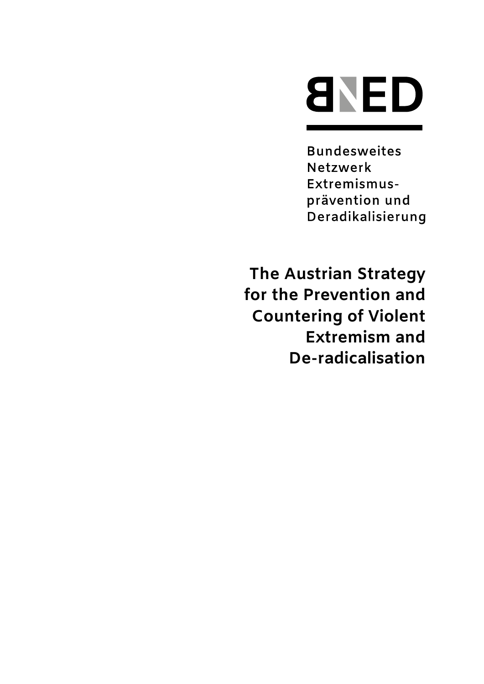

**Bundesweites** Netzwerk Extremismusprävention und Deradikalisierung

**The Austrian Strategy for the Prevention and Countering of Violent Extremism and De-radicalisation**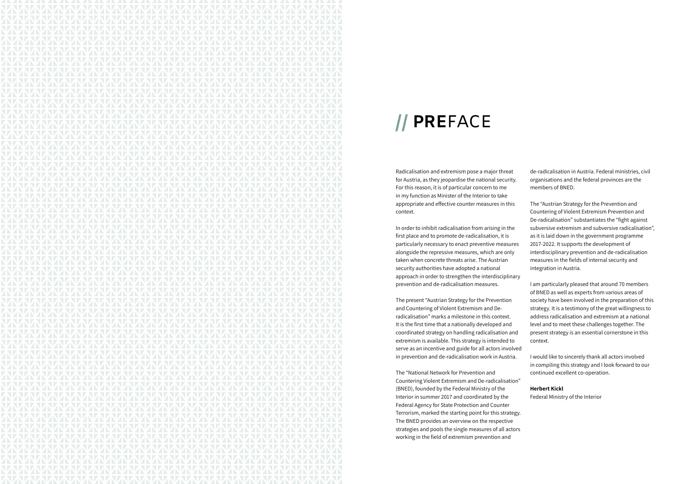Radicalisation and extremism pose a major threat for Austria, as they jeopardise the national security. For this reason, it is of particular concern to me in my function as Minister of the Interior to take appropriate and effective counter measures in this context.

In order to inhibit radicalisation from arising in the first place and to promote de-radicalisation, it is particularly necessary to enact preventive measures alongside the repressive measures, which are only taken when concrete threats arise. The Austrian security authorities have adopted a national approach in order to strengthen the interdisciplinary prevention and de-radicalisation measures.

The present "Austrian Strategy for the Prevention and Countering of Violent Extremism and Deradicalisation" marks a milestone in this context. It is the first time that a nationally developed and coordinated strategy on handling radicalisation and extremism is available. This strategy is intended to serve as an incentive and guide for all actors involved in prevention and de-radicalisation work in Austria.

The "National Network for Prevention and Countering Violent Extremism and De-radicalisation" (BNED), founded by the Federal Ministry of the Interior in summer 2017 and coordinated by the Federal Agency for State Protection and Counter Terrorism, marked the starting point for this strategy. The BNED provides an overview on the respective strategies and pools the single measures of all actors working in the field of extremism prevention and

de-radicalisation in Austria. Federal ministries, civil organisations and the federal provinces are the members of BNED.

The "Austrian Strategy for the Prevention and Countering of Violent Extremism Prevention and De-radicalisation" substantiates the "fight against subversive extremism and subversive radicalisation", as it is laid down in the government programme 2017-2022. It supports the development of interdisciplinary prevention and de-radicalisation measures in the fields of internal security and integration in Austria.

I am particularly pleased that around 70 members of BNED as well as experts from various areas of society have been involved in the preparation of this strategy. It is a testimony of the great willingness to address radicalisation and extremism at a national level and to meet these challenges together. The present strategy is an essential cornerstone in this context.

I would like to sincerely thank all actors involved in compiling this strategy and I look forward to our continued excellent co-operation.

### **Herbert Kickl**

Federal Ministry of the Interior



# **// PRE**FACE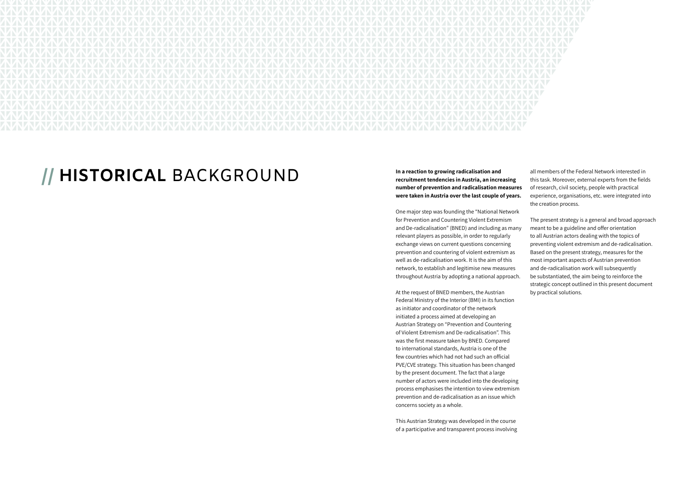

# **// HISTORICAL** BACKGROUND **In a reaction to growing radicalisation and**

**recruitment tendencies in Austria, an increasing number of prevention and radicalisation measures were taken in Austria over the last couple of years.** 

At the request of BNED members, the Austrian Federal Ministry of the Interior (BMI) in its function as initiator and coordinator of the network initiated a process aimed at developing an Austrian Strategy on "Prevention and Countering of Violent Extremism and De-radicalisation". This was the first measure taken by BNED. Compared to international standards, Austria is one of the few countries which had not had such an official PVE/CVE strategy. This situation has been changed by the present document. The fact that a large number of actors were included into the developing process emphasises the intention to view extremism prevention and de-radicalisation as an issue which concerns society as a whole.

One major step was founding the "National Network for Prevention and Countering Violent Extremism and De-radicalisation" (BNED) and including as many relevant players as possible, in order to regularly exchange views on current questions concerning prevention and countering of violent extremism as well as de-radicalisation work. It is the aim of this network, to establish and legitimise new measures throughout Austria by adopting a national approach. The present strategy is a general and broad approach meant to be a guideline and offer orientation to all Austrian actors dealing with the topics of preventing violent extremism and de-radicalisation. Based on the present strategy, measures for the most important aspects of Austrian prevention and de-radicalisation work will subsequently be substantiated, the aim being to reinforce the

This Austrian Strategy was developed in the course of a participative and transparent process involving

all members of the Federal Network interested in this task. Moreover, external experts from the fields of research, civil society, people with practical experience, organisations, etc. were integrated into the creation process.

strategic concept outlined in this present document by practical solutions.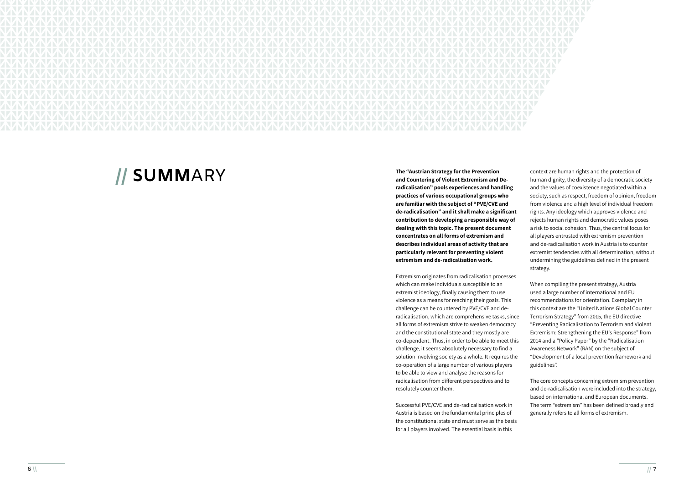

**// SUMM**ARY **The "Austrian Strategy for the Prevention and Countering of Violent Extremism and Deradicalisation" pools experiences and handling practices of various occupational groups who are familiar with the subject of "PVE/CVE and de-radicalisation" and it shall make a significant contribution to developing a responsible way of dealing with this topic. The present document concentrates on all forms of extremism and describes individual areas of activity that are particularly relevant for preventing violent extremism and de-radicalisation work.**

> Extremism originates from radicalisation processes which can make individuals susceptible to an extremist ideology, finally causing them to use violence as a means for reaching their goals. This challenge can be countered by PVE/CVE and deradicalisation, which are comprehensive tasks, since all forms of extremism strive to weaken democracy and the constitutional state and they mostly are co-dependent. Thus, in order to be able to meet this challenge, it seems absolutely necessary to find a solution involving society as a whole. It requires the co-operation of a large number of various players to be able to view and analyse the reasons for radicalisation from different perspectives and to resolutely counter them.

Successful PVE/CVE and de-radicalisation work in Austria is based on the fundamental principles of the constitutional state and must serve as the basis for all players involved. The essential basis in this

context are human rights and the protection of human dignity, the diversity of a democratic society and the values of coexistence negotiated within a society, such as respect, freedom of opinion, freedom from violence and a high level of individual freedom rights. Any ideology which approves violence and rejects human rights and democratic values poses a risk to social cohesion. Thus, the central focus for all players entrusted with extremism prevention and de-radicalisation work in Austria is to counter extremist tendencies with all determination, without undermining the guidelines defined in the present strategy.

When compiling the present strategy, Austria used a large number of international and EU recommendations for orientation. Exemplary in this context are the "United Nations Global Counter Terrorism Strategy" from 2015, the EU directive "Preventing Radicalisation to Terrorism and Violent Extremism: Strengthening the EU's Response" from 2014 and a "Policy Paper" by the "Radicalisation Awareness Network" (RAN) on the subject of "Development of a local prevention framework and guidelines".

The core concepts concerning extremism prevention and de-radicalisation were included into the strategy, based on international and European documents. The term "extremism" has been defined broadly and generally refers to all forms of extremism.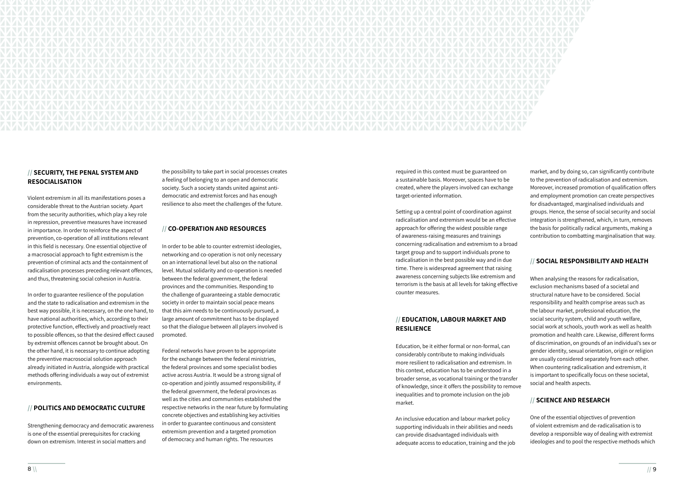

### **// SECURITY, THE PENAL SYSTEM AND RESOCIALISATION**

Violent extremism in all its manifestations poses a considerable threat to the Austrian society. Apart from the security authorities, which play a key role in repression, preventive measures have increased in importance. In order to reinforce the aspect of prevention, co-operation of all institutions relevant in this field is necessary. One essential objective of a macrosocial approach to fight extremism is the prevention of criminal acts and the containment of radicalisation processes preceding relevant offences, and thus, threatening social cohesion in Austria.

In order to guarantee resilience of the population and the state to radicalisation and extremism in the best way possible, it is necessary, on the one hand, to have national authorities, which, according to their protective function, effectively and proactively react to possible offences, so that the desired effect caused by extremist offences cannot be brought about. On the other hand, it is necessary to continue adopting the preventive macrosocial solution approach already initiated in Austria, alongside with practical methods offering individuals a way out of extremist environments.

### **// POLITICS AND DEMOCRATIC CULTURE**

Strengthening democracy and democratic awareness is one of the essential prerequisites for cracking down on extremism. Interest in social matters and

the possibility to take part in social processes creates a feeling of belonging to an open and democratic society. Such a society stands united against antidemocratic and extremist forces and has enough resilience to also meet the challenges of the future.

### **// CO-OPERATION AND RESOURCES**

In order to be able to counter extremist ideologies, networking and co-operation is not only necessary on an international level but also on the national level. Mutual solidarity and co-operation is needed between the federal government, the federal provinces and the communities. Responding to the challenge of guaranteeing a stable democratic society in order to maintain social peace means that this aim needs to be continuously pursued, a large amount of commitment has to be displayed so that the dialogue between all players involved is promoted.

Federal networks have proven to be appropriate for the exchange between the federal ministries, the federal provinces and some specialist bodies active across Austria. It would be a strong signal of co-operation and jointly assumed responsibility, if the federal government, the federal provinces as well as the cities and communities established the respective networks in the near future by formulating concrete objectives and establishing key activities in order to guarantee continuous and consistent extremism prevention and a targeted promotion of democracy and human rights. The resources

required in this context must be guaranteed on a sustainable basis. Moreover, spaces have to be created, where the players involved can exchange target-oriented information.

Setting up a central point of coordination against radicalisation and extremism would be an effective approach for offering the widest possible range of awareness-raising measures and trainings concerning radicalisation and extremism to a broad target group and to support individuals prone to radicalisation in the best possible way and in due time. There is widespread agreement that raising awareness concerning subjects like extremism and terrorism is the basis at all levels for taking effective counter measures.

# **// EDUCATION, LABOUR MARKET AND RESILIENCE**

Education, be it either formal or non-formal, can considerably contribute to making individuals more resilient to radicalisation and extremism. In this context, education has to be understood in a broader sense, as vocational training or the transfer of knowledge, since it offers the possibility to remove inequalities and to promote inclusion on the job market.

An inclusive education and labour market policy supporting individuals in their abilities and needs can provide disadvantaged individuals with adequate access to education, training and the job

market, and by doing so, can significantly contribute to the prevention of radicalisation and extremism. Moreover, increased promotion of qualification offers and employment promotion can create perspectives for disadvantaged, marginalised individuals and groups. Hence, the sense of social security and social integration is strengthened, which, in turn, removes the basis for politically radical arguments, making a contribution to combatting marginalisation that way.

# **// SOCIAL RESPONSIBILITY AND HEALTH**

When analysing the reasons for radicalisation, exclusion mechanisms based of a societal and structural nature have to be considered. Social responsibility and health comprise areas such as the labour market, professional education, the social security system, child and youth welfare, social work at schools, youth work as well as health promotion and health care. Likewise, different forms of discrimination, on grounds of an individual's sex or gender identity, sexual orientation, origin or religion are usually considered separately from each other. When countering radicalisation and extremism, it is important to specifically focus on these societal, social and health aspects.

# **// SCIENCE AND RESEARCH**

One of the essential objectives of prevention of violent extremism and de-radicalisation is to develop a responsible way of dealing with extremist ideologies and to pool the respective methods which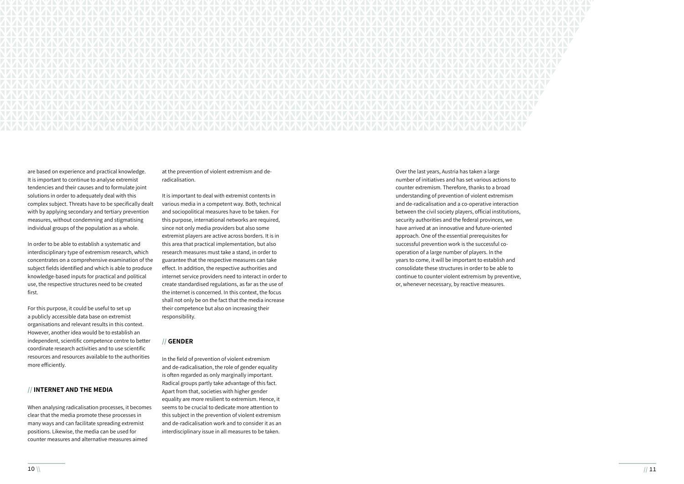

are based on experience and practical knowledge. It is important to continue to analyse extremist tendencies and their causes and to formulate joint solutions in order to adequately deal with this complex subject. Threats have to be specifically dealt with by applying secondary and tertiary prevention measures, without condemning and stigmatising individual groups of the population as a whole.

In order to be able to establish a systematic and interdisciplinary type of extremism research, which concentrates on a comprehensive examination of the subject fields identified and which is able to produce knowledge-based inputs for practical and political use, the respective structures need to be created first.

For this purpose, it could be useful to set up a publicly accessible data base on extremist organisations and relevant results in this context. However, another idea would be to establish an independent, scientific competence centre to better coordinate research activities and to use scientific resources and resources available to the authorities more efficiently.

### **// INTERNET AND THE MEDIA**

When analysing radicalisation processes, it becomes clear that the media promote these processes in many ways and can facilitate spreading extremist positions. Likewise, the media can be used for counter measures and alternative measures aimed

at the prevention of violent extremism and deradicalisation.

It is important to deal with extremist contents in various media in a competent way. Both, technical and sociopolitical measures have to be taken. For this purpose, international networks are required, since not only media providers but also some extremist players are active across borders. It is in this area that practical implementation, but also research measures must take a stand, in order to guarantee that the respective measures can take effect. In addition, the respective authorities and internet service providers need to interact in order to create standardised regulations, as far as the use of the internet is concerned. In this context, the focus shall not only be on the fact that the media increase their competence but also on increasing their responsibility.

### **// GENDER**

In the field of prevention of violent extremism and de-radicalisation, the role of gender equality is often regarded as only marginally important. Radical groups partly take advantage of this fact. Apart from that, societies with higher gender equality are more resilient to extremism. Hence, it seems to be crucial to dedicate more attention to this subject in the prevention of violent extremism and de-radicalisation work and to consider it as an interdisciplinary issue in all measures to be taken.

Over the last years, Austria has taken a large number of initiatives and has set various actions to counter extremism. Therefore, thanks to a broad understanding of prevention of violent extremism and de-radicalisation and a co-operative interaction between the civil society players, official institutions, security authorities and the federal provinces, we have arrived at an innovative and future-oriented approach. One of the essential prerequisites for successful prevention work is the successful cooperation of a large number of players. In the years to come, it will be important to establish and consolidate these structures in order to be able to continue to counter violent extremism by preventive, or, whenever necessary, by reactive measures.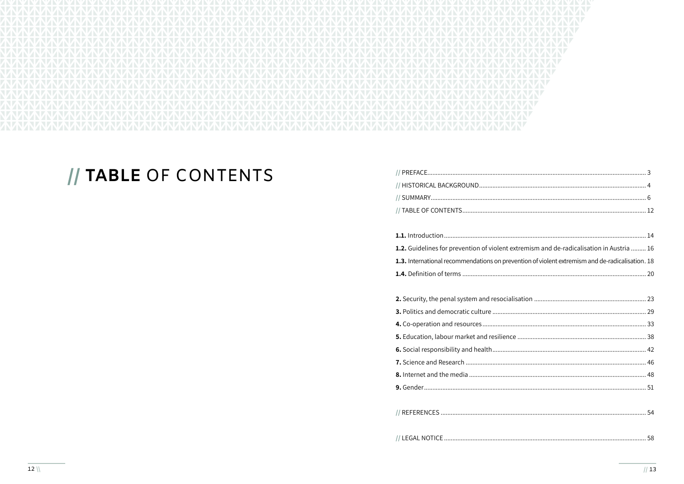

# // TABLE OF CONTENTS

| // HISTORICAL BACKGROUND |
|--------------------------|
|                          |
| // TARI F OF CONTENTS    |

| 1.2. Guidelines for prevention of violent extremism and de-radicalisation in Austria  16        |
|-------------------------------------------------------------------------------------------------|
| 1.3. International recommendations on prevention of violent extremism and de-radicalisation. 18 |
|                                                                                                 |
|                                                                                                 |
|                                                                                                 |
|                                                                                                 |
|                                                                                                 |
|                                                                                                 |
|                                                                                                 |
|                                                                                                 |
|                                                                                                 |
|                                                                                                 |
|                                                                                                 |
|                                                                                                 |
|                                                                                                 |
| 58                                                                                              |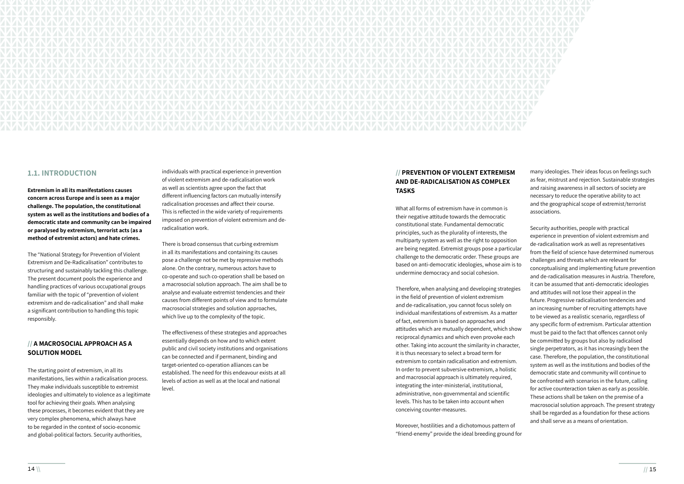

# **1.1. INTRODUCTION**

**Extremism in all its manifestations causes concern across Europe and is seen as a major challenge. The population, the constitutional system as well as the institutions and bodies of a democratic state and community can be impaired or paralysed by extremism, terrorist acts (as a method of extremist actors) and hate crimes.**

The "National Strategy for Prevention of Violent Extremism and De-Radicalisation" contributes to structuring and sustainably tackling this challenge. The present document pools the experience and handling practices of various occupational groups familiar with the topic of "prevention of violent extremism and de-radicalisation" and shall make a significant contribution to handling this topic responsibly.

# **// A MACROSOCIAL APPROACH AS A SOLUTION MODEL**

The starting point of extremism, in all its manifestations, lies within a radicalisation process. They make individuals susceptible to extremist ideologies and ultimately to violence as a legitimate tool for achieving their goals. When analysing these processes, it becomes evident that they are very complex phenomena, which always have to be regarded in the context of socio-economic and global-political factors. Security authorities,

individuals with practical experience in prevention of violent extremism and de-radicalisation work as well as scientists agree upon the fact that different influencing factors can mutually intensify radicalisation processes and affect their course. This is reflected in the wide variety of requirements imposed on prevention of violent extremism and deradicalisation work.

There is broad consensus that curbing extremism in all its manifestations and containing its causes pose a challenge not be met by repressive methods alone. On the contrary, numerous actors have to co-operate and such co-operation shall be based on a macrosocial solution approach. The aim shall be to analyse and evaluate extremist tendencies and their causes from different points of view and to formulate macrosocial strategies and solution approaches, which live up to the complexity of the topic.

The effectiveness of these strategies and approaches essentially depends on how and to which extent public and civil society institutions and organisations can be connected and if permanent, binding and target-oriented co-operation alliances can be established. The need for this endeavour exists at all levels of action as well as at the local and national level.

# **// PREVENTION OF VIOLENT EXTREMISM AND DE-RADICALISATION AS COMPLEX TASKS**

What all forms of extremism have in common is their negative attitude towards the democratic constitutional state. Fundamental democratic

Moreover, hostilities and a dichotomous pattern of "friend-enemy" provide the ideal breeding ground for

many ideologies. Their ideas focus on feelings such as fear, mistrust and rejection. Sustainable strategies and raising awareness in all sectors of society are necessary to reduce the operative ability to act and the geographical scope of extremist/terrorist associations.

principles, such as the plurality of interests, the multiparty system as well as the right to opposition are being negated. Extremist groups pose a particular challenge to the democratic order. These groups are based on anti-democratic ideologies, whose aim is to undermine democracy and social cohesion. Therefore, when analysing and developing strategies in the field of prevention of violent extremism and de-radicalisation, you cannot focus solely on individual manifestations of extremism. As a matter of fact, extremism is based on approaches and attitudes which are mutually dependent, which show reciprocal dynamics and which even provoke each other. Taking into account the similarity in character, it is thus necessary to select a broad term for extremism to contain radicalisation and extremism. In order to prevent subversive extremism, a holistic and macrosocial approach is ultimately required, integrating the inter-ministerial, institutional, administrative, non-governmental and scientific levels. This has to be taken into account when conceiving counter-measures. Security authorities, people with practical experience in prevention of violent extremism and de-radicalisation work as well as representatives from the field of science have determined numerous challenges and threats which are relevant for conceptualising and implementing future prevention and de-radicalisation measures in Austria. Therefore, it can be assumed that anti-democratic ideologies and attitudes will not lose their appeal in the future. Progressive radicalisation tendencies and an increasing number of recruiting attempts have to be viewed as a realistic scenario, regardless of any specific form of extremism. Particular attention must be paid to the fact that offences cannot only be committed by groups but also by radicalised single perpetrators, as it has increasingly been the case. Therefore, the population, the constitutional system as well as the institutions and bodies of the democratic state and community will continue to be confronted with scenarios in the future, calling for active counteraction taken as early as possible. These actions shall be taken on the premise of a macrosocial solution approach. The present strategy shall be regarded as a foundation for these actions and shall serve as a means of orientation.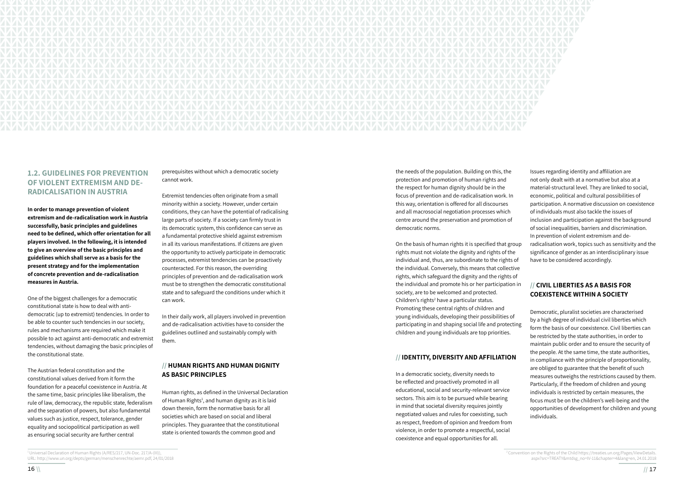

# **1.2. GUIDELINES FOR PREVENTION OF VIOLENT EXTREMISM AND DE-RADICALISATION IN AUSTRIA**

**In order to manage prevention of violent extremism and de-radicalisation work in Austria successfully, basic principles and guidelines need to be defined, which offer orientation for all players involved. In the following, it is intended to give an overview of the basic principles and guidelines which shall serve as a basis for the present strategy and for the implementation of concrete prevention and de-radicalisation measures in Austria.**

One of the biggest challenges for a democratic constitutional state is how to deal with antidemocratic (up to extremist) tendencies. In order to be able to counter such tendencies in our society, rules and mechanisms are required which make it possible to act against anti-democratic and extremist tendencies, without damaging the basic principles of the constitutional state.

The Austrian federal constitution and the constitutional values derived from it form the foundation for a peaceful coexistence in Austria. At the same time, basic principles like liberalism, the rule of law, democracy, the republic state, federalism and the separation of powers, but also fundamental values such as justice, respect, tolerance, gender equality and sociopolitical participation as well as ensuring social security are further central

prerequisites without which a democratic society cannot work.

Extremist tendencies often originate from a small minority within a society. However, under certain conditions, they can have the potential of radicalising large parts of society. If a society can firmly trust in its democratic system, this confidence can serve as a fundamental protective shield against extremism in all its various manifestations. If citizens are given the opportunity to actively participate in democratic processes, extremist tendencies can be proactively counteracted. For this reason, the overriding principles of prevention and de-radicalisation work must be to strengthen the democratic constitutional state and to safeguard the conditions under which it can work.

In their daily work, all players involved in prevention and de-radicalisation activities have to consider the guidelines outlined and sustainably comply with them.

# **// HUMAN RIGHTS AND HUMAN DIGNITY AS BASIC PRINCIPLES**

Human rights, as defined in the Universal Declaration of Human Rights<sup>1</sup>, and human dignity as it is laid down therein, form the normative basis for all societies which are based on social and liberal principles. They guarantee that the constitutional state is oriented towards the common good and

the needs of the population. Building on this, the protection and promotion of human rights and the respect for human dignity should be in the focus of prevention and de-radicalisation work. In this way, orientation is offered for all discourses and all macrosocial negotiation processes which centre around the preservation and promotion of democratic norms.

On the basis of human rights it is specified that group rights must not violate the dignity and rights of the individual and, thus, are subordinate to the rights of the individual. Conversely, this means that collective rights, which safeguard the dignity and the rights of the individual and promote his or her participation in society, are to be welcomed and protected. Children's rights<sup>2</sup> have a particular status. Promoting these central rights of children and young individuals, developing their possibilities of participating in and shaping social life and protecting children and young individuals are top priorities.

# **// IDENTITY, DIVERSITY AND AFFILIATION**

In a democratic society, diversity needs to be reflected and proactively promoted in all educational, social and security-relevant service sectors. This aim is to be pursued while bearing in mind that societal diversity requires jointly negotiated values and rules for coexisting, such as respect, freedom of opinion and freedom from violence, in order to promote a respectful, social coexistence and equal opportunities for all.

Issues regarding identity and affiliation are not only dealt with at a normative but also at a material-structural level. They are linked to social, economic, political and cultural possibilities of participation. A normative discussion on coexistence of individuals must also tackle the issues of inclusion and participation against the background of social inequalities, barriers and discrimination. In prevention of violent extremism and deradicalisation work, topics such as sensitivity and the significance of gender as an interdisciplinary issue have to be considered accordingly.

# **// CIVIL LIBERTIES AS A BASIS FOR COEXISTENCE WITHIN A SOCIETY**

Democratic, pluralist societies are characterised by a high degree of individual civil liberties which form the basis of our coexistence. Civil liberties can be restricted by the state authorities, in order to maintain public order and to ensure the security of the people. At the same time, the state authorities, in compliance with the principle of proportionality, are obliged to guarantee that the benefit of such measures outweighs the restrictions caused by them. Particularly, if the freedom of children and young individuals is restricted by certain measures, the focus must be on the children's well-being and the opportunities of development for children and young individuals.

<sup>&</sup>lt;sup>1</sup> Universal Declaration of Human Rights (A/RES/217, UN-Doc. 217/A-(III)) URL: http://www.un.org/depts/german/menschenrechte/aemr.pdf, 24/01/2018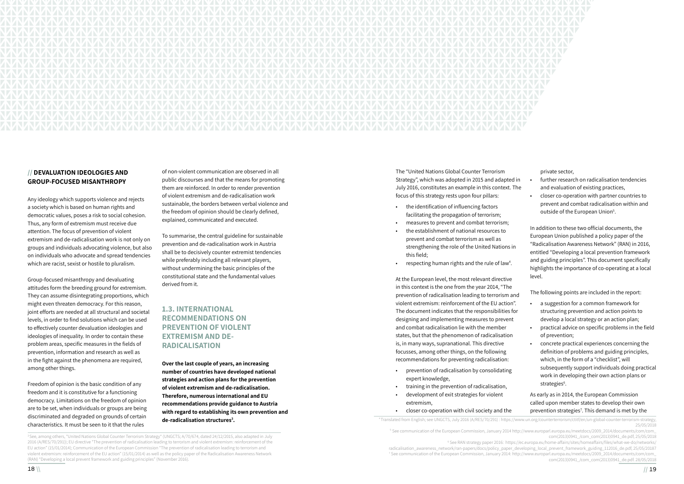

# **// DEVALUATION IDEOLOGIES AND GROUP-FOCUSED MISANTHROPY**

Any ideology which supports violence and rejects a society which is based on human rights and democratic values, poses a risk to social cohesion. Thus, any form of extremism must receive due attention. The focus of prevention of violent extremism and de-radicalisation work is not only on groups and individuals advocating violence, but also on individuals who advocate and spread tendencies which are racist, sexist or hostile to pluralism.

Group-focused misanthropy and devaluating attitudes form the breeding ground for extremism. They can assume disintegrating proportions, which might even threaten democracy. For this reason, joint efforts are needed at all structural and societal levels, in order to find solutions which can be used to effectively counter devaluation ideologies and ideologies of inequality. In order to contain these problem areas, specific measures in the fields of prevention, information and research as well as in the fight against the phenomena are required, among other things.

Freedom of opinion is the basic condition of any freedom and it is constitutive for a functioning democracy. Limitations on the freedom of opinion are to be set, when individuals or groups are being discriminated and degraded on grounds of certain characteristics. It must be seen to it that the rules

- the identification of influencing factors facilitating the propagation of terrorism;
- measures to prevent and combat terrorism;
- the establishment of national resources to prevent and combat terrorism as well as strengthening the role of the United Nations in this field;
- respecting human rights and the rule of law<sup>4</sup>.

of non-violent communication are observed in all public discourses and that the means for promoting them are reinforced. In order to render prevention of violent extremism and de-radicalisation work sustainable, the borders between verbal violence and the freedom of opinion should be clearly defined, explained, communicated and executed.

To summarise, the central guideline for sustainable prevention and de-radicalisation work in Austria shall be to decisively counter extremist tendencies while preferably including all relevant players, without undermining the basic principles of the constitutional state and the fundamental values derived from it.

# **1.3. INTERNATIONAL RECOMMENDATIONS ON PREVENTION OF VIOLENT EXTREMISM AND DE-RADICALISATION**

- The following points are included in the report:
- a suggestion for a common framework for structuring prevention and action points to develop a local strategy or an action plan;
	- practical advice on specific problems in the field of prevention;
- concrete practical experiences concerning the definition of problems and guiding principles, which, in the form of a "checklist", will subsequently support individuals doing practical work in developing their own action plans or strategies<sup>6</sup>.

**Over the last couple of years, an increasing number of countries have developed national strategies and action plans for the prevention of violent extremism and de-radicalisation. Therefore, numerous international and EU recommendations provide guidance to Austria with regard to establishing its own prevention and de-radicalisation structures3 .** 

As early as in 2014, the European Commission called upon member states to develop their own prevention strategies<sup>7</sup>. This demand is met by the

The "United Nations Global Counter Terrorism Strategy", which was adopted in 2015 and adapted in July 2016, constitutes an example in this context. The focus of this strategy rests upon four pillars:

<sup>3</sup> See, among others, "United Nations Global Counter Terrorism Strategy" (UNGCTS; A/70/674, dated 24/12/2015, also adapted in July 2016 (A/RES/70/291)); EU directive "The prevention of radicalisation leading to terrorism and violent extremism: reinforcement of the EU action" (15/01/2014); Communication of the European Commission "The prevention of radicalisation leading to terrorism and violent extremism: reinforcement of the EU action" (15/01/2014) as well as the policy paper of the Radicalisation Awareness Network (RAN) "Developing a local prevent framework and guiding principles" (November 2016).

At the European level, the most relevant directive in this context is the one from the year 2014, "The prevention of radicalisation leading to terrorism and violent extremism: reinforcement of the EU action". The document indicates that the responsibilities for designing and implementing measures to prevent and combat radicalisation lie with the member states, but that the phenomenon of radicalisation is, in many ways, supranational. This directive focusses, among other things, on the following recommendations for preventing radicalisation:

- prevention of radicalisation by consolidating expert knowledge,
- training in the prevention of radicalisation,
- development of exit strategies for violent extremism,
- closer co-operation with civil society and the

private sector,

- further research on radicalisation tendencies and evaluation of existing practices,
	- closer co-operation with partner countries to prevent and combat radicalisation within and outside of the European Union<sup>5</sup>.

In addition to these two official documents, the European Union published a policy paper of the "Radicalisation Awareness Network" (RAN) in 2016, entitled "Developing a local prevention framework and guiding principles". This document specifically highlights the importance of co-operating at a local level.

4 Translated from English; see UNGCTS, July 2016 (A/RES/70/291) : https://www.un.org/counterterrorism/ctitf/en/un-global-counter-terrorism-strategy,

<sup>25/05/2018</sup> 5 See communication of the European Commission, January 2014 http://www.europarl.europa.eu/meetdocs/2009\_2014/documents/com/com\_ com(2013)0941\_/com\_com(2013)0941\_de.pdf, 25/05/2018 6 See RAN strategy paper 2016: https://ec.europa.eu/home-affairs/sites/homeaffairs/files/what-we-do/networks/ radicalisation\_awareness\_network/ran-papers/docs/policy\_paper\_developing\_local\_prevent\_framework\_guiding\_112016\_de.pdf, 25/05/20187 7 See communication of the European Commission, January 2014: http://www.europarl.europa.eu/meetdocs/2009\_2014/documents/com/com\_ com(2013)0941\_/com\_com(2013)0941\_de.pdf. 28/05/2018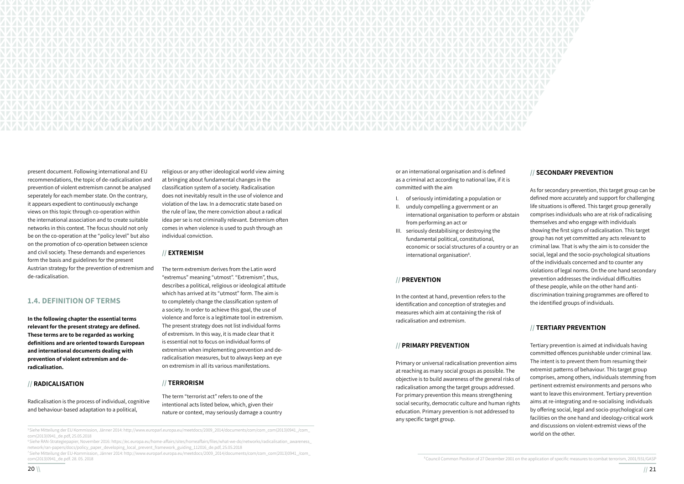

present document. Following international and EU recommendations, the topic of de-radicalisation and prevention of violent extremism cannot be analysed seperately for each member state. On the contrary, it appears expedient to continuously exchange views on this topic through co-operation within the international association and to create suitable networks in this context. The focus should not only be on the co-operation at the "policy level" but also on the promotion of co-operation between science and civil society. These demands and experiences form the basis and guidelines for the present Austrian strategy for the prevention of extremism and de-radicalisation.

# **1.4. DEFINITION OF TERMS**

**In the following chapter the essential terms relevant for the present strategy are defined. These terms are to be regarded as working definitions and are oriented towards European and international documents dealing with prevention of violent extremism and deradicalisation.** 

### **// RADICALISATION**

Radicalisation is the process of individual, cognitive and behaviour-based adaptation to a political,

- I. of seriously intimidating a population or
- II. unduly compelling a government or an international organisation to perform or abstain from performing an act or
- III. seriously destabilising or destroying the fundamental political, constitutional, economic or social structures of a country or an international organisation<sup>8</sup>.

religious or any other ideological world view aiming at bringing about fundamental changes in the classification system of a society. Radicalisation does not inevitably result in the use of violence and violation of the law. In a democratic state based on the rule of law, the mere conviction about a radical idea per se is not criminally relevant. Extremism often comes in when violence is used to push through an individual conviction.

### **// EXTREMISM**

The term extremism derives from the Latin word "extremus" meaning "utmost". "Extremism", thus, describes a political, religious or ideological attitude which has arrived at its "utmost" form. The aim is to completely change the classification system of a society. In order to achieve this goal, the use of violence and force is a legitimate tool in extremism. The present strategy does not list individual forms of extremism. In this way, it is made clear that it is essential not to focus on individual forms of extremism when implementing prevention and deradicalisation measures, but to always keep an eye on extremism in all its various manifestations.

### **// TERRORISM**

The term "terrorist act" refers to one of the intentional acts listed below, which, given their nature or context, may seriously damage a country or an international organisation and is defined as a criminal act according to national law, if it is committed with the aim

7 Siehe Mitteilung der EU-Kommission, Jänner 2014: http://www.europarl.europa.eu/meetdocs/2009\_2014/documents/com/com\_com(2013)0941\_/com\_ com(2013)0941\_de.pdf. 28. 05. 2018 **SCOUNCIL COMMON POSITION OF A SCOUNCIL COMMON POSITION** 8Council Common Position of 27 December 2001 on the application of specific measures to combat terrorism, 2001/931/GASP

### **// PREVENTION**

In the context at hand, prevention refers to the identification and conception of strategies and measures which aim at containing the risk of radicalisation and extremism.

# **// PRIMARY PREVENTION**

Primary or universal radicalisation prevention aims at reaching as many social groups as possible. The objective is to build awareness of the general risks of radicalisation among the target groups addressed. For primary prevention this means strengthening social security, democratic culture and human rights education. Primary prevention is not addressed to any specific target group.

# **// SECONDARY PREVENTION**

As for secondary prevention, this target group can be defined more accurately and support for challenging life situations is offered. This target group generally comprises individuals who are at risk of radicalising themselves and who engage with individuals showing the first signs of radicalisation. This target group has not yet committed any acts relevant to criminal law. That is why the aim is to consider the social, legal and the socio-psychological situations of the individuals concerned and to counter any violations of legal norms. On the one hand secondary prevention addresses the individual difficulties of these people, while on the other hand antidiscrimination training programmes are offered to the identified groups of individuals.

# **// TERTIARY PREVENTION**

Tertiary prevention is aimed at individuals having committed offences punishable under criminal law. The intent is to prevent them from resuming their extremist patterns of behaviour. This target group comprises, among others, individuals stemming from pertinent extremist environments and persons who want to leave this environment. Tertiary prevention aims at re-integrating and re-socialising individuals by offering social, legal and socio-psychological care facilities on the one hand and ideology-critical work and discussions on violent-extremist views of the

<sup>6</sup>Siehe RAN-Strategiepapier, November 2016: https://ec.europa.eu/home-affairs/sites/homeaffairs/files/what-we-do/networks/radicalisation\_awareness\_ network/ran-papers/docs/policy\_paper\_developing\_local\_prevent\_framework\_guiding\_112016\_de.pdf, 25.05.2018

siehe Mitteilung der EU Kommission, Jänner 2014: http://www.europarl.europa.eu/meetdocs/2009\_2014/documents/com/com\_com(2013)0941\_/com\_<br>
world on the other. com(2013)0941\_de.pdf, 25.05.2018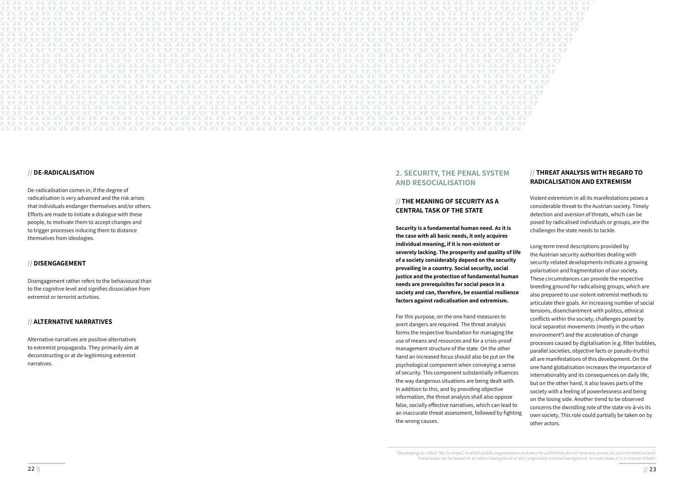

### **// DE-RADICALISATION**

De-radicalisation comes in, if the degree of radicalisation is very advanced and the risk arises that individuals endanger themselves and/or others. Efforts are made to initiate a dialogue with these people, to motivate them to accept changes and to trigger processes inducing them to distance themselves from ideologies.

### **// DISENGAGEMENT**

Disengagement rather refers to the behavioural than to the cognitive level and signifies dissociation from extremist or terrorist activities.

### **// ALTERNATIVE NARRATIVES**

Alternative narratives are positive alternatives to extremist propaganda. They primarily aim at deconstructing or at de-legitimising extremist narratives.

# **2. SECURITY, THE PENAL SYSTEM AND RESOCIALISATION**

# **// THE MEANING OF SECURITY AS A CENTRAL TASK OF THE STATE**

# **// THREAT ANALYSIS WITH REGARD TO RADICALISATION AND EXTREMISM**

**Security is a fundamental human need. As it is the case with all basic needs, it only acquires individual meaning, if it is non-existent or severely lacking. The prosperity and quality of life of a society considerably depend on the security prevailing in a country. Social security, social justice and the protection of fundamental human needs are prerequisites for social peace in a society and can, therefore, be essential resilience factors against radicalisation and extremism.**  For this purpose, on the one hand measures to avert dangers are required. The threat analysis forms the respective foundation for managing the use of means and resources and for a crisis-proof management structure of the state. On the other hand an increased focus should also be put on the psychological component when conveying a sense of security. This component substantially influences the way dangerous situations are being dealt with. In addition to this, and by providing objective information, the threat analysis shall also oppose false, socially effective narratives, which can lead to an inaccurate threat assessment, followed by fighting the wrong causes. challenges the state needs to tackle. Long-term trend descriptions provided by the Austrian security authorities dealing with security-related developments indicate a growing polarisation and fragmentation of our society. These circumstances can provide the respective breeding ground for radicalising groups, which are also prepared to use violent extremist methods to articulate their goals. An increasing number of social tensions, disenchantment with politics, ethnical conflicts within the society, challenges posed by local separatist movements (mostly in the urban environment 9 ) and the acceleration of change processes caused by digitalisation (e.g. filter bubbles, parallel societies, objective facts or pseudo-truths) all are manifestations of this development. On the one hand globalisation increases the importance of internationality and its consequences on daily life, but on the other hand, it also leaves parts of the society with a feeling of powerlessness and being on the losing side. Another trend to be observed concerns the dwindling role of the state vis-à-vis its own society. This role could partially be taken on by other actors.

Violent extremism in all its manifestations poses a considerable threat to the Austrian society. Timely detection and aversion of threats, which can be posed by radicalised individuals or groups, are the

9 Developing so-called "No Go Areas", to which public organisations and security authorities do not have any access (or just restricted access). These areas can be based on an ethnic background or a(n) (organised) criminal background. In most cases, it is a mixture of both.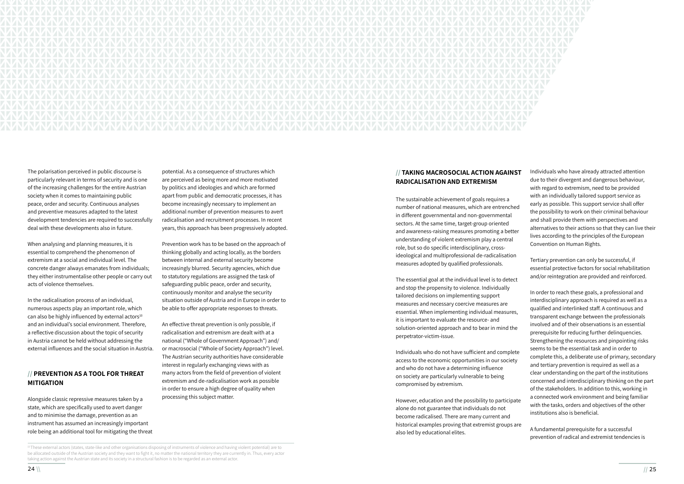

The polarisation perceived in public discourse is particularly relevant in terms of security and is one of the increasing challenges for the entire Austrian society when it comes to maintaining public peace, order and security. Continuous analyses and preventive measures adapted to the latest development tendencies are required to successfully deal with these developments also in future.

When analysing and planning measures, it is essential to comprehend the phenomenon of extremism at a social and individual level. The concrete danger always emanates from individuals; they either instrumentalise other people or carry out acts of violence themselves.

In the radicalisation process of an individual, numerous aspects play an important role, which can also be highly influenced by external actors<sup>10</sup> and an individual's social environment. Therefore, a reflective discussion about the topic of security in Austria cannot be held without addressing the external influences and the social situation in Austria.

# **// PREVENTION AS A TOOL FOR THREAT MITIGATION**

Alongside classic repressive measures taken by a state, which are specifically used to avert danger and to minimise the damage, prevention as an instrument has assumed an increasingly important role being an additional tool for mitigating the threat potential. As a consequence of structures which are perceived as being more and more motivated by politics and ideologies and which are formed apart from public and democratic processes, it has become increasingly necessary to implement an additional number of prevention measures to avert radicalisation and recruitment processes. In recent years, this approach has been progressively adopted.

Prevention work has to be based on the approach of thinking globally and acting locally, as the borders between internal and external security become increasingly blurred. Security agencies, which due to statutory regulations are assigned the task of safeguarding public peace, order and security, continuously monitor and analyse the security situation outside of Austria and in Europe in order to be able to offer appropriate responses to threats.

An effective threat prevention is only possible, if radicalisation and extremism are dealt with at a national ("Whole of Government Approach") and/ or macrosocial ("Whole of Society Approach") level. The Austrian security authorities have considerable interest in regularly exchanging views with as many actors from the field of prevention of violent extremism and de-radicalisation work as possible in order to ensure a high degree of quality when processing this subject matter.

# **// TAKING MACROSOCIAL ACTION AGAINST RADICALISATION AND EXTREMISM**

The sustainable achievement of goals requires a number of national measures, which are entrenched in different governmental and non-governmental sectors. At the same time, target-group oriented and awareness-raising measures promoting a better understanding of violent extremism play a central role, but so do specific interdisciplinary, crossideological and multiprofessional de-radicalisation measures adopted by qualified professionals.

10 These external actors (states, state-like and other organisations disposing of instruments of violence and having violent potential) are to be allocated outside of the Austrian society and they want to fight it, no matter the national territory they are currently in. Thus, every actor taking action against the Austrian state and its society in a structural fashion is to be regarded as an external actor.

The essential goal at the individual level is to detect and stop the propensity to violence. Individually tailored decisions on implementing support measures and necessary coercive measures are essential. When implementing individual measures, it is important to evaluate the resource- and solution-oriented approach and to bear in mind the perpetrator-victim-issue.

Individuals who do not have sufficient and complete access to the economic opportunities in our society and who do not have a determining influence on society are particularly vulnerable to being compromised by extremism.

However, education and the possibility to participate alone do not guarantee that individuals do not become radicalised. There are many current and historical examples proving that extremist groups are also led by educational elites.

- Individuals who have already attracted attention due to their divergent and dangerous behaviour, with regard to extremism, need to be provided with an individually tailored support service as early as possible. This support service shall offer the possibility to work on their criminal behaviour and shall provide them with perspectives and alternatives to their actions so that they can live their lives according to the principles of the European Convention on Human Rights.
- Tertiary prevention can only be successful, if essential protective factors for social rehabilitation and/or reintegration are provided and reinforced.
- In order to reach these goals, a professional and interdisciplinary approach is required as well as a qualified and interlinked staff. A continuous and transparent exchange between the professionals involved and of their observations is an essential prerequisite for reducing further delinquencies. Strengthening the resources and pinpointing risks seems to be the essential task and in order to complete this, a deliberate use of primary, secondary and tertiary prevention is required as well as a clear understanding on the part of the institutions concerned and interdisciplinary thinking on the part of the stakeholders. In addition to this, working in a connected work environment and being familiar with the tasks, orders and objectives of the other institutions also is beneficial.
- A fundamental prerequisite for a successful prevention of radical and extremist tendencies is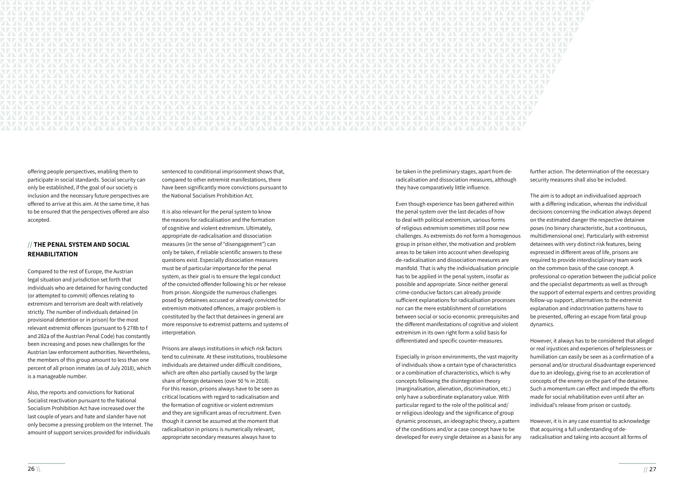

offering people perspectives, enabling them to participate in social standards. Social security can only be established, if the goal of our society is inclusion and the necessary future perspectives are offered to arrive at this aim. At the same time, it has to be ensured that the perspectives offered are also accepted.

# **// THE PENAL SYSTEM AND SOCIAL REHABILITATION**

Compared to the rest of Europe, the Austrian legal situation and jurisdiction set forth that individuals who are detained for having conducted (or attempted to commit) offences relating to extremism and terrorism are dealt with relatively strictly. The number of individuals detained (in provisional detention or in prison) for the most relevant extremist offences (pursuant to § 278b to f and 282a of the Austrian Penal Code) has constantly been increasing and poses new challenges for the Austrian law enforcement authorities. Nevertheless, the members of this group amount to less than one percent of all prison inmates (as of July 2018), which is a manageable number.

Also, the reports and convictions for National Socialist reactivation pursuant to the National Socialism Prohibition Act have increased over the last couple of years and hate and slander have not only become a pressing problem on the Internet. The amount of support services provided for individuals

sentenced to conditional imprisonment shows that, compared to other extremist manifestations, there have been significantly more convictions pursuant to the National Socialism Prohibition Act.

It is also relevant for the penal system to know the reasons for radicalisation and the formation of cognitive and violent extremism. Ultimately, appropriate de-radicalisation and dissociation measures (in the sense of "disengagement") can only be taken, if reliable scientific answers to these questions exist. Especially dissociation measures must be of particular importance for the penal system, as their goal is to ensure the legal conduct of the convicted offender following his or her release from prison. Alongside the numerous challenges posed by detainees accused or already convicted for extremism motivated offences, a major problem is constituted by the fact that detainees in general are more responsive to extremist patterns and systems of interpretation.

Prisons are always institutions in which risk factors tend to culminate. At these institutions, troublesome individuals are detained under difficult conditions, which are often also partially caused by the large share of foreign detainees (over 50 % in 2018). For this reason, prisons always have to be seen as critical locations with regard to radicalisation and the formation of cognitive or violent extremism and they are significant areas of recruitment. Even though it cannot be assumed at the moment that radicalisation in prisons is numerically relevant, appropriate secondary measures always have to

be taken in the preliminary stages, apart from deradicalisation and dissociation measures, although they have comparatively little influence.

Even though experience has been gathered within the penal system over the last decades of how to deal with political extremism, various forms of religious extremism sometimes still pose new challenges. As extremists do not form a homogenous group in prison either, the motivation and problem areas to be taken into account when developing de-radicalisation and dissociation measures are manifold. That is why the individualisation principle has to be applied in the penal system, insofar as possible and appropriate. Since neither general crime-conducive factors can already provide sufficient explanations for radicalisation processes nor can the mere establishment of correlations between social or socio-economic prerequisites and the different manifestations of cognitive and violent extremism in its own right form a solid basis for differentiated and specific counter-measures.

Especially in prison environments, the vast majority of individuals show a certain type of characteristics or a combination of characteristics, which is why concepts following the disintegration theory (marginalisation, alienation, discrimination, etc.) only have a subordinate explanatory value. With particular regard to the role of the political and/ or religious ideology and the significance of group dynamic processes, an ideographic theory, a pattern of the conditions and/or a case concept have to be developed for every single detainee as a basis for any further action. The determination of the necessary security measures shall also be included.

The aim is to adopt an individualised approach with a differing indication, whereas the individual decisions concerning the indication always depend on the estimated danger the respective detainee poses (no binary characteristic, but a continuous, multidimensional one). Particularly with extremist detainees with very distinct risk features, being expressed in different areas of life, prisons are required to provide interdisciplinary team work

- on the common basis of the case concept. A professional co-operation between the judicial police and the specialist departments as well as through the support of external experts and centres providing follow-up support, alternatives to the extremist explanation and indoctrination patterns have to be presented, offering an escape from fatal group dynamics.
- However, it always has to be considered that alleged or real injustices and experiences of helplessness or humiliation can easily be seen as a confirmation of a personal and/or structural disadvantage experienced due to an ideology, giving rise to an acceleration of concepts of the enemy on the part of the detainee. Such a momentum can effect and impede the efforts made for social rehabilitation even until after an individual's release from prison or custody.
- However, it is in any case essential to acknowledge that acquiring a full understanding of deradicalisation and taking into account all forms of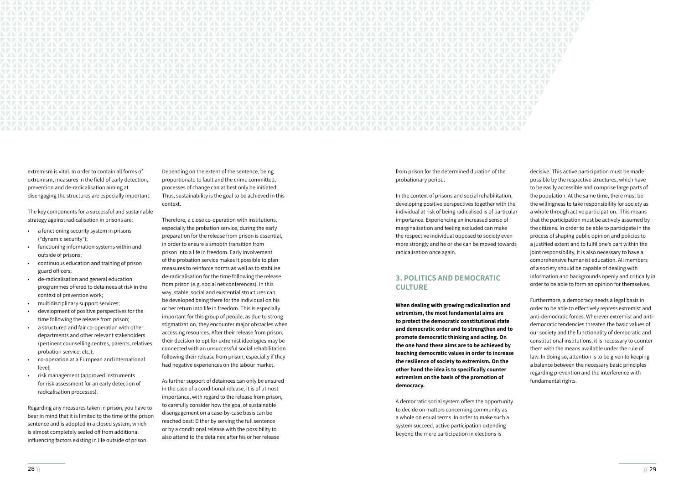The key components for a successful and sustainable strategy against radicalisation in prisons are:<br>• a functioning security system in prisons



extremism is vital. In order to contain all forms of extremism, measures in the field of early detection, prevention and de-radicalisation aiming at disengaging the structures are especially important.

- ("dynamic security");
- functioning information systems within and outside of prisons;
- continuous education and training of prison guard officers;
- de-radicalisation and general education programmes offered to detainees at risk in the context of prevention work;
- 
- multidisciplinary support services;<br>development of positive perspectives for the time following the release from prison;
- a structured and fair co-operation with other departments and other relevant stakeholders (pertinent counselling centres, parents, relatives, probation service, etc.);
- co-operation at a European and international level;
- risk management (approved instruments for risk assessment for an early detection of radicalisation processes).

Regarding any measures taken in prison, you have to bear in mind that it is limited to the time of the prison sentence and is adopted in a closed system, which is almost completely sealed off from additional influencing factors existing in life outside of prison.

Depending on the extent of the sentence, being proportionate to fault and the crime committed, processes of change can at best only be initiated. Thus, sustainability is the goal to be achieved in this context.

Therefore, a close co-operation with institutions, especially the probation service, during the early preparation for the release from prison is essential, in order to ensure a smooth transition from prison into a life in freedom. Early involvement of the probation service makes it possible to plan measures to reinforce norms as well as to stabilise de-radicalisation for the time following the release from prison (e.g. social net conferences). In this way, stable, social and existential structures can be developed being there for the individual on his or her return into life in freedom. This is especially important for this group of people, as due to strong stigmatization, they encounter major obstacles when accessing resources. After their release from prison, their decision to opt for extremist ideologies may be connected with an unsuccessful social rehabilitation following their release from prison, especially if they had negative experiences on the labour market.

As further support of detainees can only be ensured in the case of a conditional release, it is of utmost importance, with regard to the release from prison, to carefully consider how the goal of sustainable disengagement on a case-by-case basis can be reached best: Either by serving the full sentence or by a conditional release with the possibility to also attend to the detainee after his or her release

from prison for the determined duration of the probationary period.

In the context of prisons and social rehabilitation, developing positive perspectives together with the individual at risk of being radicalised is of particular importance. Experiencing an increased sense of marginalisation and feeling excluded can make the respective individual opposed to society even more strongly and he or she can be moved towards radicalisation once again.

# **3. POLITICS AND DEMOCRATIC CULTURE**

**When dealing with growing radicalisation and extremism, the most fundamental aims are to protect the democratic constitutional state and democratic order and to strengthen and to promote democratic thinking and acting. On the one hand these aims are to be achieved by teaching democratic values in order to increase the resilience of society to extremism. On the other hand the idea is to specifically counter extremism on the basis of the promotion of democracy.** 

A democratic social system offers the opportunity to decide on matters concerning community as a whole on equal terms. In order to make such a system succeed, active participation extending beyond the mere participation in elections is

decisive. This active participation must be made possible by the respective structures, which have to be easily accessible and comprise large parts of the population. At the same time, there must be the willingness to take responsibility for society as a whole through active participation. This means that the participation must be actively assumed by the citizens. In order to be able to participate in the process of shaping public opinion and policies to a justified extent and to fulfil one's part within the joint responsibility, it is also necessary to have a comprehensive humanist education. All members of a society should be capable of dealing with information and backgrounds openly and critically in order to be able to form an opinion for themselves.

Furthermore, a democracy needs a legal basis in order to be able to effectively repress extremist and anti-democratic forces. Wherever extremist and antidemocratic tendencies threaten the basic values of our society and the functionality of democratic and constitutional institutions, it is necessary to counter them with the means available under the rule of law. In doing so, attention is to be given to keeping a balance between the necessary basic principles regarding prevention and the interference with fundamental rights.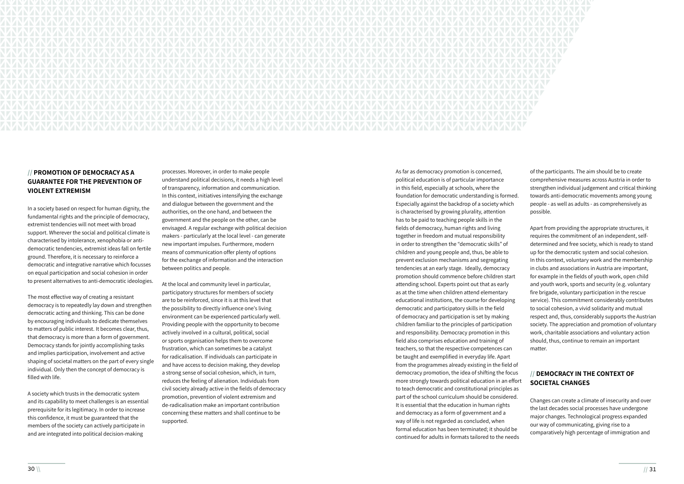

# **// PROMOTION OF DEMOCRACY AS A GUARANTEE FOR THE PREVENTION OF VIOLENT EXTREMISM**

In a society based on respect for human dignity, the fundamental rights and the principle of democracy, extremist tendencies will not meet with broad support. Wherever the social and political climate is characterised by intolerance, xenophobia or antidemocratic tendencies, extremist ideas fall on fertile ground. Therefore, it is necessary to reinforce a democratic and integrative narrative which focusses on equal participation and social cohesion in order to present alternatives to anti-democratic ideologies.

The most effective way of creating a resistant democracy is to repeatedly lay down and strengthen democratic acting and thinking. This can be done by encouraging individuals to dedicate themselves to matters of public interest. It becomes clear, thus, that democracy is more than a form of government. Democracy stands for jointly accomplishing tasks and implies participation, involvement and active shaping of societal matters on the part of every single individual. Only then the concept of democracy is filled with life.

A society which trusts in the democratic system and its capability to meet challenges is an essential prerequisite for its legitimacy. In order to increase this confidence, it must be guaranteed that the members of the society can actively participate in and are integrated into political decision-making

processes. Moreover, in order to make people understand political decisions, it needs a high level of transparency, information and communication. In this context, initiatives intensifying the exchange and dialogue between the government and the authorities, on the one hand, and between the government and the people on the other, can be envisaged. A regular exchange with political decision makers - particularly at the local level - can generate new important impulses. Furthermore, modern means of communication offer plenty of options for the exchange of information and the interaction between politics and people.

At the local and community level in particular, participatory structures for members of society are to be reinforced, since it is at this level that the possibility to directly influence one's living environment can be experienced particularly well. Providing people with the opportunity to become actively involved in a cultural, political, social or sports organisation helps them to overcome frustration, which can sometimes be a catalyst for radicalisation. If individuals can participate in and have access to decision making, they develop a strong sense of social cohesion, which, in turn, reduces the feeling of alienation. Individuals from civil society already active in the fields of democracy promotion, prevention of violent extremism and de-radicalisation make an important contribution concerning these matters and shall continue to be supported.

As far as democracy promotion is concerned, political education is of particular importance in this field, especially at schools, where the foundation for democratic understanding is formed. Especially against the backdrop of a society which is characterised by growing plurality, attention has to be paid to teaching people skills in the fields of democracy, human rights and living together in freedom and mutual responsibility in order to strengthen the "democratic skills" of children and young people and, thus, be able to prevent exclusion mechanisms and segregating tendencies at an early stage. Ideally, democracy promotion should commence before children start attending school. Experts point out that as early as at the time when children attend elementary educational institutions, the course for developing democratic and participatory skills in the field of democracy and participation is set by making children familiar to the principles of participation and responsibility. Democracy promotion in this field also comprises education and training of teachers, so that the respective competences can be taught and exemplified in everyday life. Apart from the programmes already existing in the field of democracy promotion, the idea of shifting the focus more strongly towards political education in an effort to teach democratic and constitutional principles as part of the school curriculum should be considered. It is essential that the education in human rights and democracy as a form of government and a way of life is not regarded as concluded, when formal education has been terminated; it should be continued for adults in formats tailored to the needs

of the participants. The aim should be to create comprehensive measures across Austria in order to strengthen individual judgement and critical thinking towards anti-democratic movements among young people - as well as adults - as comprehensively as possible.

Apart from providing the appropriate structures, it requires the commitment of an independent, selfdetermined and free society, which is ready to stand up for the democratic system and social cohesion. In this context, voluntary work and the membership in clubs and associations in Austria are important, for example in the fields of youth work, open child and youth work, sports and security (e.g. voluntary fire brigade, voluntary participation in the rescue service). This commitment considerably contributes to social cohesion, a vivid solidarity and mutual respect and, thus, considerably supports the Austrian society. The appreciation and promotion of voluntary work, charitable associations and voluntary action should, thus, continue to remain an important matter.

# **// DEMOCRACY IN THE CONTEXT OF SOCIETAL CHANGES**

Changes can create a climate of insecurity and over the last decades social processes have undergone major changes. Technological progress expanded our way of communicating, giving rise to a comparatively high percentage of immigration and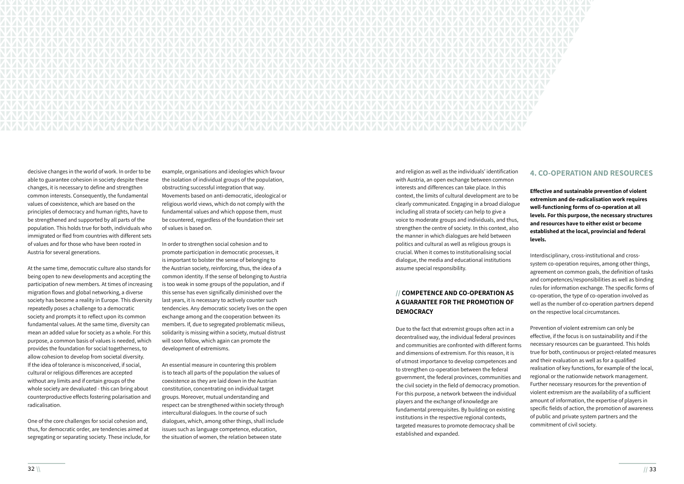

decisive changes in the world of work. In order to be able to guarantee cohesion in society despite these changes, it is necessary to define and strengthen common interests. Consequently, the fundamental values of coexistence, which are based on the principles of democracy and human rights, have to be strengthened and supported by all parts of the population. This holds true for both, individuals who immigrated or fled from countries with different sets of values and for those who have been rooted in Austria for several generations.

At the same time, democratic culture also stands for being open to new developments and accepting the participation of new members. At times of increasing migration flows and global networking, a diverse society has become a reality in Europe. This diversity repeatedly poses a challenge to a democratic society and prompts it to reflect upon its common fundamental values. At the same time, diversity can mean an added value for society as a whole. For this purpose, a common basis of values is needed, which provides the foundation for social togetherness, to allow cohesion to develop from societal diversity. If the idea of tolerance is misconceived, if social, cultural or religious differences are accepted without any limits and if certain groups of the whole society are devaluated - this can bring about counterproductive effects fostering polarisation and radicalisation.

One of the core challenges for social cohesion and, thus, for democratic order, are tendencies aimed at segregating or separating society. These include, for example, organisations and ideologies which favour the isolation of individual groups of the population, obstructing successful integration that way. Movements based on anti-democratic, ideological or religious world views, which do not comply with the fundamental values and which oppose them, must be countered, regardless of the foundation their set of values is based on.

In order to strengthen social cohesion and to promote participation in democratic processes, it is important to bolster the sense of belonging to the Austrian society, reinforcing, thus, the idea of a common identity. If the sense of belonging to Austria is too weak in some groups of the population, and if this sense has even significally diminished over the last years, it is necessary to actively counter such tendencies. Any democratic society lives on the open exchange among and the cooperation between its members. If, due to segregated problematic milieus, solidarity is missing within a society, mutual distrust will soon follow, which again can promote the development of extremisms.

An essential measure in countering this problem is to teach all parts of the population the values of coexistence as they are laid down in the Austrian constitution, concentrating on individual target groups. Moreover, mutual understanding and respect can be strengthened within society through intercultural dialogues. In the course of such dialogues, which, among other things, shall include issues such as language competence, education, the situation of women, the relation between state

# **// COMPETENCE AND CO-OPERATION AS A GUARANTEE FOR THE PROMOTION OF DEMOCRACY**

and religion as well as the individuals' identification with Austria, an open exchange between common interests and differences can take place. In this context, the limits of cultural development are to be clearly communicated. Engaging in a broad dialogue including all strata of society can help to give a voice to moderate groups and individuals, and thus, strengthen the centre of society. In this context, also the manner in which dialogues are held between politics and cultural as well as religious groups is crucial. When it comes to institutionalising social dialogue, the media and educational institutions assume special responsibility. **Effective and sustainable prevention of violent extremism and de-radicalisation work requires well-functioning forms of co-operation at all levels. For this purpose, the necessary structures and resources have to either exist or become established at the local, provincial and federal levels.**  Interdisciplinary, cross-institutional and crosssystem co-operation requires, among other things,

# **4. CO-OPERATION AND RESOURCES**

Due to the fact that extremist groups often act in a decentralised way, the individual federal provinces and communities are confronted with different forms and dimensions of extremism. For this reason, it is of utmost importance to develop competences and to strengthen co-operation between the federal government, the federal provinces, communities and the civil society in the field of democracy promotion. For this purpose, a network between the individual players and the exchange of knowledge are fundamental prerequisites. By building on existing institutions in the respective regional contexts, targeted measures to promote democracy shall be established and expanded. Prevention of violent extremism can only be effective, if the focus is on sustainability and if the necessary resources can be guaranteed. This holds true for both, continuous or project-related measures and their evaluation as well as for a qualified realisation of key functions, for example of the local, regional or the nationwide network management. Further necessary resources for the prevention of violent extremism are the availability of a sufficient amount of information, the expertise of players in specific fields of action, the promotion of awareness of public and private system partners and the commitment of civil society.

agreement on common goals, the definition of tasks and competences/responsibilities as well as binding rules for information exchange. The specific forms of co-operation, the type of co-operation involved as well as the number of co-operation partners depend on the respective local circumstances.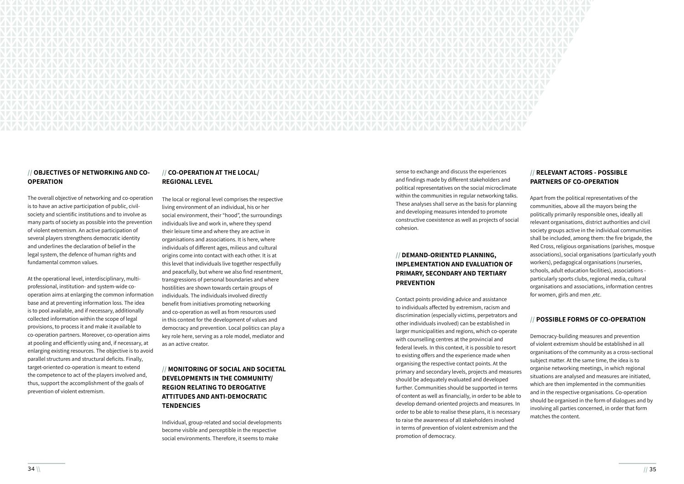

### **// OBJECTIVES OF NETWORKING AND CO-OPERATION**

The overall objective of networking and co-operation is to have an active participation of public, civilsociety and scientific institutions and to involve as many parts of society as possible into the prevention of violent extremism. An active participation of several players strengthens democratic identity and underlines the declaration of belief in the legal system, the defence of human rights and fundamental common values.

At the operational level, interdisciplinary, multiprofessional, institution- and system-wide cooperation aims at enlarging the common information base and at preventing information loss. The idea is to pool available, and if necessary, additionally collected information within the scope of legal provisions, to process it and make it available to co-operation partners. Moreover, co-operation aims at pooling and efficiently using and, if necessary, at enlarging existing resources. The objective is to avoid parallel structures and structural deficits. Finally, target-oriented co-operation is meant to extend the competence to act of the players involved and, thus, support the accomplishment of the goals of prevention of violent extremism.

# **// CO-OPERATION AT THE LOCAL/ REGIONAL LEVEL**

The local or regional level comprises the respective living environment of an individual, his or her social environment, their "hood", the surroundings individuals live and work in, where they spend their leisure time and where they are active in organisations and associations. It is here, where individuals of different ages, milieus and cultural origins come into contact with each other. It is at this level that individuals live together respectfully and peacefully, but where we also find resentment, transgressions of personal boundaries and where hostilities are shown towards certain groups of individuals. The individuals involved directly benefit from initiatives promoting networking and co-operation as well as from resources used in this context for the development of values and democracy and prevention. Local politics can play a key role here, serving as a role model, mediator and as an active creator.

# **// MONITORING OF SOCIAL AND SOCIETAL DEVELOPMENTS IN THE COMMUNITY/ REGION RELATING TO DEROGATIVE ATTITUDES AND ANTI-DEMOCRATIC TENDENCIES**

Individual, group-related and social developments become visible and perceptible in the respective social environments. Therefore, it seems to make

sense to exchange and discuss the experiences and findings made by different stakeholders and political representatives on the social microclimate within the communities in regular networking talks. These analyses shall serve as the basis for planning and developing measures intended to promote constructive coexistence as well as projects of social cohesion.

# **// DEMAND-ORIENTED PLANNING, IMPLEMENTATION AND EVALUATION OF PRIMARY, SECONDARY AND TERTIARY PREVENTION**

Contact points providing advice and assistance to individuals affected by extremism, racism and discrimination (especially victims, perpetrators and other individuals involved) can be established in larger municipalities and regions, which co-operate with counselling centres at the provincial and federal levels. In this context, it is possible to resort to existing offers and the experience made when organising the respective contact points. At the primary and secondary levels, projects and measures should be adequately evaluated and developed further. Communities should be supported in terms of content as well as financially, in order to be able to develop demand-oriented projects and measures. In order to be able to realise these plans, it is necessary to raise the awareness of all stakeholders involved in terms of prevention of violent extremism and the promotion of democracy.

# **// RELEVANT ACTORS - POSSIBLE PARTNERS OF CO-OPERATION**

Apart from the political representatives of the communities, above all the mayors being the politically primarily responsible ones, ideally all relevant organisations, district authorities and civil society groups active in the individual communities shall be included, among them: the fire brigade, the Red Cross, religious organisations (parishes, mosque associations), social organisations (particularly youth workers), pedagogical organisations (nurseries, schools, adult education facilities), associations particularly sports clubs, regional media, cultural organisations and associations, information centres for women, girls and men ,etc.

# **// POSSIBLE FORMS OF CO-OPERATION**

Democracy-building measures and prevention of violent extremism should be established in all organisations of the community as a cross-sectional subject matter. At the same time, the idea is to organise networking meetings, in which regional situations are analysed and measures are initiated, which are then implemented in the communities and in the respective organisations. Co-operation should be organised in the form of dialogues and by involving all parties concerned, in order that form matches the content.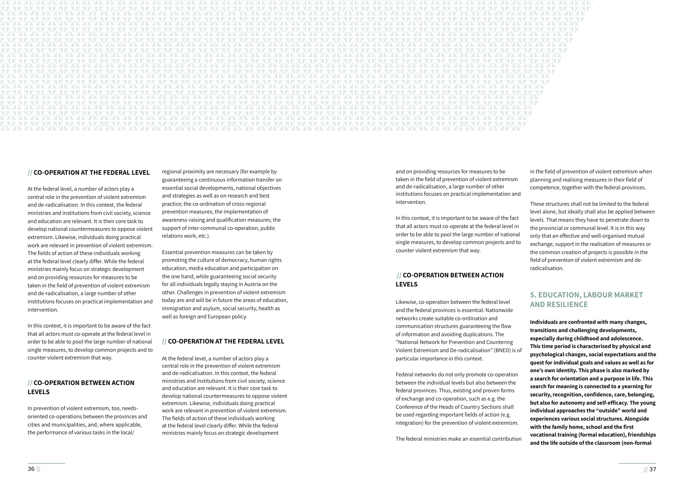

### **// CO-OPERATION AT THE FEDERAL LEVEL**

At the federal level, a number of actors play a central role in the prevention of violent extremism and de-radicalisation. In this context, the federal ministries and institutions from civil society, science and education are relevant. It is their core task to develop national countermeasures to oppose violent extremism. Likewise, individuals doing practical work are relevant in prevention of violent extremism. The fields of action of these individuals working at the federal level clearly differ. While the federal ministries mainly focus on strategic development and on providing resources for measures to be taken in the field of prevention of violent extremism and de-radicalisation, a large number of other institutions focuses on practical implementation and intervention.

In this context, it is important to be aware of the fact that all actors must co-operate at the federal level in order to be able to pool the large number of national single measures, to develop common projects and to counter violent extremism that way.

### **// CO-OPERATION BETWEEN ACTION LEVELS**

In prevention of violent extremism, too, needsoriented co-operations between the provinces and cities and municipalities, and, where applicable, the performance of various tasks in the local/

regional proximity are necessary (for example by guaranteeing a continuous information transfer on essential social developments, national objectives and strategies as well as on research and best practice; the co-ordination of cross-regional prevention measures, the implementation of awareness-raising and qualification measures; the support of inter-communal co-operation, public relations work, etc.).

Essential prevention measures can be taken by promoting the culture of democracy, human rights education, media education and participation on the one hand, while guaranteeing social security for all individuals legally staying in Austria on the other. Challenges in prevention of violent extremism today are and will be in future the areas of education, immigration and asylum, social security, health as well as foreign and European policy.

### **// CO-OPERATION AT THE FEDERAL LEVEL**

At the federal level, a number of actors play a central role in the prevention of violent extremism and de-radicalisation. In this context, the federal ministries and institutions from civil society, science and education are relevant. It is their core task to develop national countermeasures to oppose violent extremism. Likewise, individuals doing practical work are relevant in prevention of violent extremism. The fields of action of these individuals working at the federal level clearly differ. While the federal ministries mainly focus on strategic development

and on providing resources for measures to be taken in the field of prevention of violent extremism and de-radicalisation, a large number of other institutions focuses on practical implementation and intervention.

In this context, it is important to be aware of the fact that all actors must co-operate at the federal level in order to be able to pool the large number of national single measures, to develop common projects and to counter violent extremism that way.

# **// CO-OPERATION BETWEEN ACTION LEVELS**

Likewise, co-operation between the federal level and the federal provinces is essential. Nationwide networks create suitable co-ordination and

in the field of prevention of violent extremism when planning and realising measures in their field of competence, together with the federal provinces.

These structures shall not be limited to the federal level alone, but ideally shall also be applied between levels. That means they have to penetrate down to the provincial or communal level. It is in this way only that an effective and well-organised mutual exchange, support in the realisation of measures or the common creation of projects is possible in the field of prevention of violent extremism and deradicalisation.

communication structures guaranteeing the flow of information and avoiding duplications. The "National Network for Prevention and Countering Violent Extremism and De-radicalisation" (BNED) is of particular importance in this context. Federal networks do not only promote co-operation between the individual levels but also between the federal provinces. Thus, existing and proven forms of exchange and co-operation, such as e.g. the Conference of the Heads of Country Sections shall be used regarding important fields of action (e.g. integration) for the prevention of violent extremism. The federal ministries make an essential contribution **Individuals are confronted with many changes, transitions and challenging developments, especially during childhood and adolescence. This time period is characterised by physical and psychological changes, social expectations and the quest for individual goals and values as well as for one's own identity. This phase is also marked by a search for orientation and a purpose in life. This search for meaning is connected to a yearning for security, recognition, confidence, care, belonging, but also for autonomy and self-efficacy. The young individual approaches the "outside" world and experiences various social structures. Alongside with the family home, school and the first vocational training (formal education), friendships and the life outside of the classroom (non-formal** 

# **5. EDUCATION, LABOUR MARKET AND RESILIENCE**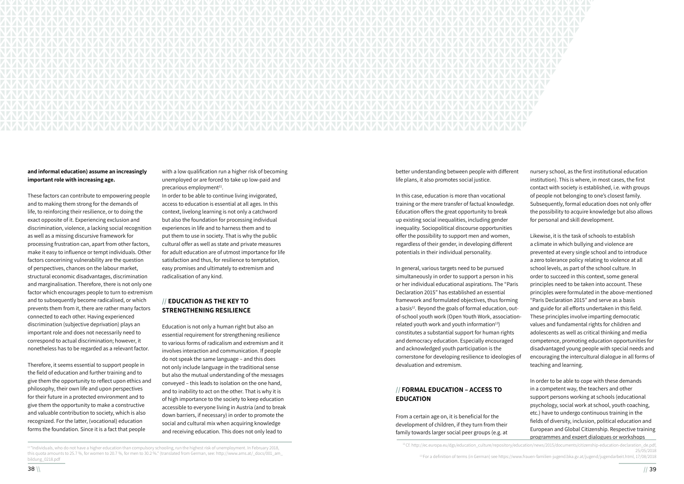

### **and informal education) assume an increasingly important role with increasing age.**

These factors can contribute to empowering people and to making them strong for the demands of life, to reinforcing their resilience, or to doing the exact opposite of it. Experiencing exclusion and discrimination, violence, a lacking social recognition as well as a missing discursive framework for processing frustration can, apart from other factors, make it easy to influence or tempt individuals. Other factors concerining vulnerability are the question of perspectives, chances on the labour market, structural economic disadvantages, discrimination and marginalisation. Therefore, there is not only one factor which encourages people to turn to extremism and to subsequently become radicalised, or which prevents them from it, there are rather many factors connected to each other. Having experienced discrimination (subjective deprivation) plays an important role and does not necessarily need to correspond to actual discrimination; however, it nonetheless has to be regarded as a relevant factor.

with a low qualification run a higher risk of becoming unemployed or are forced to take up low-paid and precarious employment<sup>11</sup>.

Therefore, it seems essential to support people in the field of education and further training and to give them the opportunity to reflect upon ethics and philosophy, their own life and upon perspectives for their future in a protected environment and to give them the opportunity to make a constructive and valuable contribution to society, which is also recognized. For the latter, (vocational) education forms the foundation. Since it is a fact that people

In order to be able to continue living invigorated, access to education is essential at all ages. In this context, livelong learning is not only a catchword but also the foundation for processing individual experiences in life and to harness them and to put them to use in society. That is why the public cultural offer as well as state and private measures for adult education are of utmost importance for life satisfaction and thus, for resilience to temptation, easy promises and ultimately to extremism and radicalisation of any kind.

# **// EDUCATION AS THE KEY TO STRENGTHENING RESILIENCE**

Education is not only a human right but also an essential requirement for strengthening resilience to various forms of radicalism and extremism and it involves interaction and communication. If people do not speak the same language – and this does not only include language in the traditional sense but also the mutual understanding of the messages conveyed – this leads to isolation on the one hand, and to inability to act on the other. That is why it is of high importance to the society to keep education accessible to everyone living in Austria (and to break down barriers, if necessary) in order to promote the social and cultural mix when acquiring knowledge and receiving education. This does not only lead to

better understanding between people with different life plans, it also promotes social justice.

<sup>11 "</sup>Individuals, who do not have a higher education than compulsory schooling, run the highest risk of unemployment. In February 2018, this quota amounts to 25.7 %, for women to 20.7 %, for men to 30.2 %." (translated from German, see: http://www.ams.at/\_docs/001\_am\_ bildung\_0218.pdf

<sup>12</sup>Cf. http://ec.europa.eu/dgs/education\_culture/repository/education/news/2015/documents/citizenship-education-declaration\_de.pdf, 25/05/2018 13 For a definition of terms (in German) see https://www.frauen-familien-jugend.bka.gv.at/jugend/jugendarbeit.html, 17/08/2018

In this case, education is more than vocational training or the mere transfer of factual knowledge. Education offers the great opportunity to break up existing social inequalities, including gender inequality. Sociopolitical discourse opportunities

# **// FORMAL EDUCATION – ACCESS TO EDUCATION**

From a certain age on, it is beneficial for the development of children, if they turn from their family towards larger social peer groups (e.g. at

offer the possibility to support men and women, regardless of their gender, in developing different potentials in their individual personality. In general, various targets need to be pursued simultaneously in order to support a person in his or her individual educational aspirations. The "Paris Declaration 2015" has established an essential framework and formulated objectives, thus forming a basis<sup>12</sup>. Beyond the goals of formal education, outof-school youth work (Open Youth Work, associationrelated youth work and youth information $13$ ) constitutes a substantial support for human rights and democracy education. Especially encouraged and acknowledged youth participation is the cornerstone for developing resilience to ideologies of devaluation and extremism. Likewise, it is the task of schools to establish a climate in which bullying and violence are prevented at every single school and to introduce a zero tolerance policy relating to violence at all school levels, as part of the school culture. In order to succeed in this context, some general principles need to be taken into account. These principles were formulated in the above-mentioned "Paris Declaration 2015" and serve as a basis and guide for all efforts undertaken in this field. These principles involve imparting democratic values and fundamental rights for children and adolescents as well as critical thinking and media competence, promoting education opportunities for disadvantaged young people with special needs and encouraging the intercultural dialogue in all forms of teaching and learning.

nursery school, as the first institutional education institution). This is where, in most cases, the first contact with society is established, i.e. with groups of people not belonging to one's closest family. Subsequently, formal education does not only offer the possibility to acquire knowledge but also allows for personal and skill development.

In order to be able to cope with these demands in a competent way, the teachers and other support persons working at schools (educational psychology, social work at school, youth coaching, etc.) have to undergo continuous training in the fields of diversity, inclusion, political education and European and Global Citizenship. Respective training programmes and expert dialogues or workshops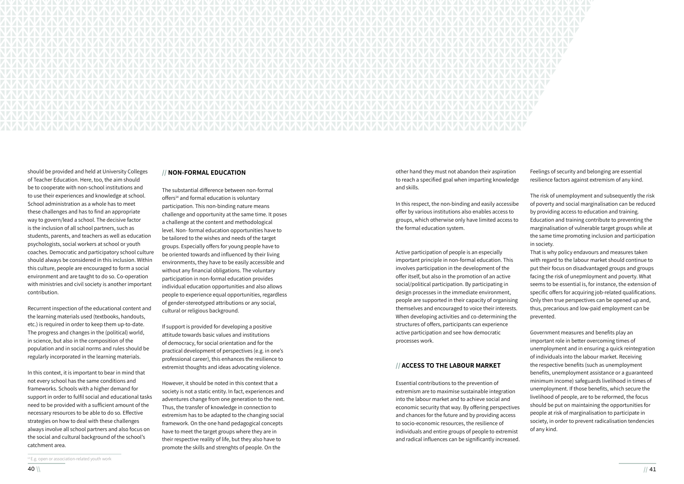

should be provided and held at University Colleges of Teacher Education. Here, too, the aim should be to cooperate with non-school institutions and to use their experiences and knowledge at school. School administration as a whole has to meet these challenges and has to find an appropriate way to govern/lead a school. The decisive factor is the inclusion of all school partners, such as students, parents, and teachers as well as education psychologists, social workers at school or youth coaches. Democratic and participatory school culture should always be considered in this inclusion. Within this culture, people are encouraged to form a social environment and are taught to do so. Co-operation with ministries and civil society is another important contribution.

Recurrent inspection of the educational content and the learning materials used (textbooks, handouts, etc.) is required in order to keep them up-to-date. The progress and changes in the (political) world, in science, but also in the composition of the population and in social norms and rules should be regularly incorporated in the learning materials.

In this context, it is important to bear in mind that not every school has the same conditions and frameworks. Schools with a higher demand for support in order to fulfil social and educational tasks need to be provided with a sufficient amount of the necessary resources to be able to do so. Effective strategies on how to deal with these challenges always involve all school partners and also focus on the social and cultural background of the school's catchment area.

### **// NON-FORMAL EDUCATION**

The substantial difference between non-formal offers<sup>14</sup> and formal education is voluntary participation. This non-binding nature means challenge and opportunity at the same time. It poses a challenge at the content and methodological level. Non- formal education opportunities have to be tailored to the wishes and needs of the target groups. Especially offers for young people have to be oriented towards and influenced by their living environments, they have to be easily accessible and without any financial obligations. The voluntary participation in non-formal education provides individual education opportunities and also allows people to experience equal opportunities, regardless of gender-stereotyped attributions or any social, cultural or religious background.

If support is provided for developing a positive attitude towards basic values and institutions of democracy, for social orientation and for the practical development of perspectives (e.g. in one's professional career), this enhances the resilience to extremist thoughts and ideas advocating violence.

However, it should be noted in this context that a society is not a static entity. In fact, experiences and adventures change from one generation to the next. Thus, the transfer of knowledge in connection to extremism has to be adapted to the changing social framework. On the one hand pedagogical concepts have to meet the target groups where they are in their respective reality of life, but they also have to promote the skills and strenghts of people. On the

In this respect, the non-binding and easily accessibe offer by various institutions also enables access to groups, which otherwise only have limited access to the formal education system.

Active participation of people is an especially important principle in non-formal education. This involves participation in the development of the offer itself, but also in the promotion of an active social/political participation. By participating in design processes in the immediate environment, people are supported in their capacity of organising themselves and encouraged to voice their interests. When developing activities and co-determining the structures of offers, participants can experience active participation and see how democratic processes work.

other hand they must not abandon their aspiration to reach a specified goal when imparting knowledge and skills. Feelings of security and belonging are essential resilience factors against extremism of any kind.

### **// ACCESS TO THE LABOUR MARKET**

Essential contributions to the prevention of extremism are to maximise sustainable integration into the labour market and to achieve social and economic security that way. By offering perspectives and chances for the future and by providing access to socio-economic resources, the resilience of individuals and entire groups of people to extremist and radical influences can be significantly increased.

The risk of unemployment and subsequently the risk of poverty and social marginalisation can be reduced by providing access to education and training.

Education and training contribute to preventing the marginalisation of vulnerable target groups while at the same time promoting inclusion and participation in society.

That is why policy endavours and measures taken with regard to the labour market should continue to put their focus on disadvantaged groups and groups facing the risk of unepmloyment and poverty. What seems to be essential is, for instance, the extension of specific offers for acquiring job-related qualifications. Only then true perspectives can be opened up and, thus, precarious and low-paid employment can be prevented.

Government measures and benefits play an important role in better overcoming times of unemployment and in ensuring a quick reintegration of individuals into the labour market. Receiving the respective benefits (such as unemployment benefits, unemployment assistance or a guaranteed minimum income) safeguards livelihood in times of unemployment. If those benefits, which secure the livelihood of people, are to be reformed, the focus should be put on maintaining the opportunities for people at risk of marginalisation to participate in

- society, in order to prevent radicalisation tendencies of any kind.
- 

<sup>14</sup>E.g. open or association-related youth work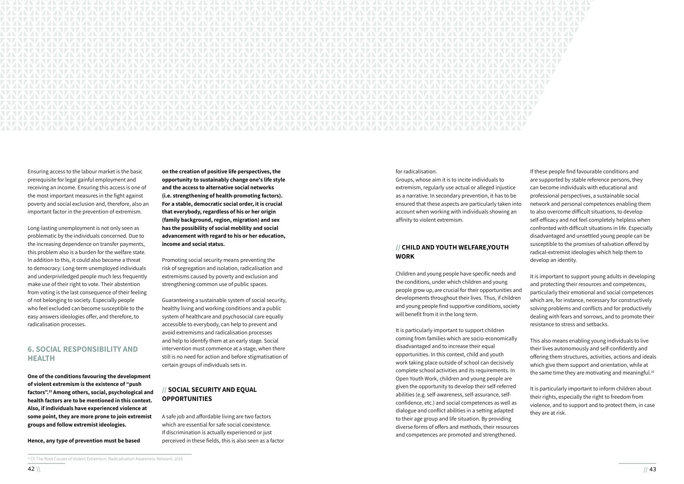

Ensuring access to the labour market is the basic prerequisite for legal gainful employment and receiving an income. Ensuring this access is one of the most important measures in the fight against poverty and social exclusion and, therefore, also an important factor in the prevention of extremism.

Long-lasting unemployment is not only seen as problematic by the individuals concerned. Due to the increasing dependence on transfer payments, this problem also is a burden for the welfare state. In addition to this, it could also become a threat to democracy: Long-term unemployed individuals and underpriviledged people much less frequently make use of their right to vote. Their abstention from voting is the last consequence of their feeling of not belonging to society. Especially people who feel excluded can become susceptible to the easy answers ideologies offer, and therefore, to radicalisation processes.

# **6. SOCIAL RESPONSIBILITY AND HEALTH**

**One of the conditions favouring the development of violent extremism is the existence of "push factors".15 Among others, social, psychological and health factors are to be mentioned in this context. Also, if individuals have experienced violence at some point, they are more prone to join extremist groups and follow extremist ideologies.** 

**Hence, any type of prevention must be based** 

**on the creation of positive life perspectives, the opportunity to sustainably change one's life style and the access to alternative social networks (i.e. strengthening of health-promoting factors). For a stable, democratic social order, it is crucial that everybody, regardless of his or her origin (family background, region, migration) and sex has the possibility of social mobility and social advancement with regard to his or her education, income and social status.** 

Promoting social security means preventing the risk of segregation and isolation, radicalisation and extremisms caused by poverty and exclusion and strengthening common use of public spaces.

Guaranteeing a sustainable system of social security, healthy living and working conditions and a public system of healthcare and psychosocial care equally accessible to everybody, can help to prevent and avoid extremisms and radicalisation processes and help to identify them at an early stage. Social intervention must commence at a stage, when there still is no need for action and before stigmatisation of certain groups of individuals sets in.

# **// SOCIAL SECURITY AND EQUAL OPPORTUNITIES**

This also means enabling young individuals to live their lives autonomously and self-confidently and offering them structures, activities, actions and ideals which give them support and orientation, while at the same time they are motivating and meaningful.<sup>16</sup>

A safe job and affordable living are two factors which are essential for safe social coexistence. If discrimination is actually experienced or just perceived in these fields, this is also seen as a factor

Children and young people have specific needs and the conditions, under which children and young people grow up, are crucial for their opportunities and developments throughout their lives. Thus, if children and young people find supportive conditions, society will benefit from it in the long term.

for radicalisation. Groups, whose aim it is to incite individuals to extremism, regularly use actual or alleged injustice as a narrative. In secondary prevention, it has to be ensured that these aspects are particularly taken into account when working with individuals showing an affinity to violent extremism. **// CHILD AND YOUTH WELFARE,YOUTH WORK** If these people find favourable conditions and are supported by stable reference persons, they can become individuals with educational and professional perspectives, a sustainable social network and personal competences enabling them to also overcome difficult situations, to develop self-efficacy and not feel completely helpless when confronted with difficult situations in life. Especially disadvantaged and unsettled young people can be susceptible to the promises of salvation offered by radical-extremist ideologies which help them to develop an identity.

It is particularly important to support children coming from families which are socio-economically disadvantaged and to increase their equal opportunities. In this context, child and youth work taking place outside of school can decisively complete school activities and its requirements. In Open Youth Work, children and young people are given the opportunity to develop their self-referred abilities (e.g. self-awareness, self-assurance, selfconfidence, etc.) and social competences as well as dialogue and conflict abilities in a setting adapted to their age group and life situation. By providing diverse forms of offers and methods, their resources and competences are promoted and strengthened.

It is important to support young adults in developing and protecting their resources and competences, particularly their emotional and social competences which are, for instance, necessary for constructively solving problems and conflicts and for productively dealing with fears and sorrows, and to promote their resistance to stress and setbacks.

It is particularly important to inform children about their rights, especially the right to freedom from violence, and to support and to protect them, in case they are at risk.

<sup>15</sup> Cf. The Root Causes of Violent Extremism, Radicalisation Awareness Network, 2016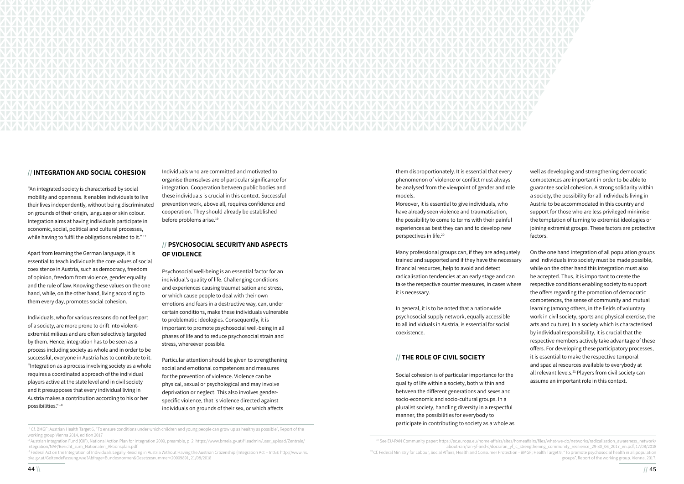"An integrated society is characterised by social mobility and openness. It enables individuals to live their lives independently, without being discriminated on grounds of their origin, language or skin colour. Integration aims at having individuals participate in economic, social, political and cultural processes, while having to fulfil the obligations related to it."<sup>17</sup>



### **// INTEGRATION AND SOCIAL COHESION**

Apart from learning the German language, it is essential to teach individuals the core values of social coexistence in Austria, such as democracy, freedom of opinion, freedom from violence, gender equality and the rule of law. Knowing these values on the one hand, while, on the other hand, living according to them every day, promotes social cohesion.

Individuals who are committed and motivated to organise themselves are of particular significance for integration. Cooperation between public bodies and these individuals is crucial in this context. Successful prevention work, above all, requires confidence and cooperation. They should already be established before problems arise.<sup>19</sup>

Individuals, who for various reasons do not feel part of a society, are more prone to drift into violentextremist milieus and are often selectively targeted by them. Hence, integration has to be seen as a process including society as whole and in order to be successful, everyone in Austria has to contribute to it. "Integration as a process involving society as a whole requires a coordinated approach of the individual players active at the state level and in civil society and it presupposes that every individual living in Austria makes a contribution according to his or her possibilities." 18

## **// PSYCHOSOCIAL SECURITY AND ASPECTS OF VIOLENCE**

Psychosocial well-being is an essential factor for an individual's quality of life. Challenging conditions and experiences causing traumatisation and stress, or which cause people to deal with their own emotions and fears in a destructive way, can, under certain conditions, make these individuals vulnerable to problematic ideologies. Consequently, it is important to promote psychosocial well-being in all phases of life and to reduce psychosocial strain and stress, whereever possible.

Particular attention should be given to strengthening social and emotional competences and measures for the prevention of violence. Violence can be physical, sexual or psychological and may involve deprivation or neglect. This also involves genderspecific violence, that is violence directed against individuals on grounds of their sex, or which affects

them disproportionately. It is essential that every phenomenon of violence or conflict must always be analysed from the viewpoint of gender and role models.

<sup>17</sup>Austrian Integration Fund (ÖIF), National Action Plan for Integration 2009, preamble, p. 2: https://www.bmeia.gv.at/fileadmin/user\_upload/Zentrale/ Integration/NAP/Bericht\_zum\_Nationalen\_Aktionsplan.pdf

18 Federal Act on the Integration of Individuals Legally Residing in Austria Without Having the Austrian Citizenship (Integration Act – IntG): http://www.ris. bka.gv.at/GeltendeFassung.wxe?Abfrage=Bundesnormen&Gesetzesnummer=20009891, 21/08/2018

Moreover, it is essential to give individuals, who have already seen violence and traumatisation, the possibility to come to terms with their painful experiences as best they can and to develop new perspectives in life.20

quality of life within a society, both within and between the different generations and sexes and socio-economic and socio-cultural groups. In a pluralist society, handling diversity in a respectful manner, the possibilities for everybody to participate in contributing to society as a whole as

well as developing and strengthening democratic competences are important in order to be able to guarantee social cohesion. A strong solidarity within a society, the possibility for all individuals living in Austria to be accommodated in this country and support for those who are less privileged minimise the temptation of turning to extremist ideologies or joining extremist groups. These factors are protective factors.

Many professional groups can, if they are adequately trained and supported and if they have the necessary financial resources, help to avoid and detect radicalisation tendencies at an early stage and can take the respective counter measures, in cases where it is necessary. In general, it is to be noted that a nationwide psychosocial supply network, equally accessible to all individuals in Austria, is essential for social coexistence. **// THE ROLE OF CIVIL SOCIETY** Social cohesion is of particular importance for the On the one hand integration of all population groups and individuals into society must be made possible, while on the other hand this integration must also be accepted. Thus, it is important to create the respective conditions enabling society to support the offers regarding the promotion of democratic competences, the sense of community and mutual learning (among others, in the fields of voluntary work in civil society, sports and physical exercise, the arts and culture). In a society which is characterised by individual responsibility, it is crucial that the respective members actively take advantage of these offers. For developing these participatory processes, it is essential to make the respective temporal and spacial resources available to everybody at all relevant levels.<sup>21</sup> Players from civil society can assume an important role in this context.

<sup>16</sup> Cf. BMGF; Austrian Health Target 6, "To ensure conditions under which children and young people can grow up as healthy as possible", Report of the working group Vienna 2014, edition 2017

> about-ran/ran-yf-and-c/docs/ran\_yf\_c\_strengthening\_community\_resilience\_29-30\_06\_2017\_en.pdf, 17/08/2018 <sup>20</sup>Cf. Federal Ministry for Labour, Social Affairs, Health and Consumer Protection - BMGF; Health Target 9, "To promote psychosocial health in all population groups", Report of the working group. Vienna, 2017.

<sup>&</sup>lt;sup>19</sup> See EU-RAN Community paper: https://ec.europa.eu/home-affairs/sites/homeaffairs/files/what-we-do/networks/radicalisation\_awareness\_network/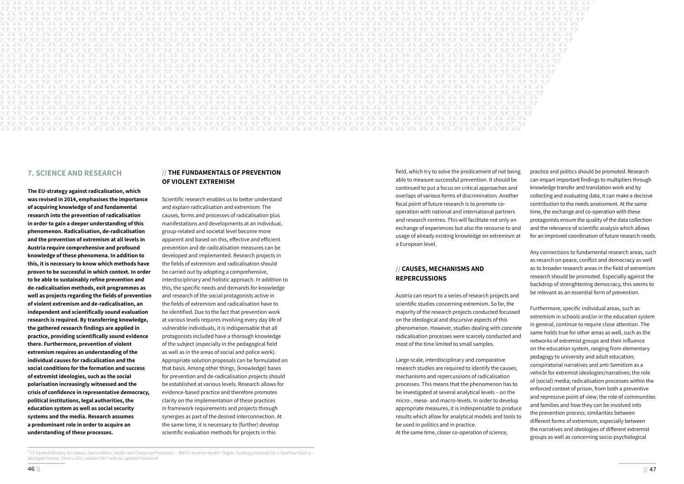

## **7. SCIENCE AND RESEARCH**

**The EU-strategy against radicalisation, which was revised in 2014, emphasises the importance of acquiring knowledge of and fundamental research into the prevention of radicalisation in order to gain a deeper understanding of this phenomenon. Radicalisation, de-radicalisation and the prevention of extremism at all levels in Austria require comprehensive and profound knowledge of these phenomena. In addition to this, it is necessary to know which methods have proven to be successful in which context. In order to be able to sustainably refine prevention and de-radicalisation methods, exit programmes as well as projects regarding the fields of prevention of violent extremism and de-radicalisation, an independent and scientifically sound evaluation research is required. By transferring knowledge, the gathered research findings are applied in practice, providing scientifically sound evidence there. Furthermore, prevention of violent extremism requires an understanding of the individual causes for radicalisation and the social conditions for the formation and success of extremist ideologies, such as the social polarisation increasingly witnessed and the crisis of confidence in representative democracy, political institutions, legal authorities, the education system as well as social security systems and the media. Research assumes a predominant role in order to acquire an understanding of these processes.** 

# **// THE FUNDAMENTALS OF PREVENTION OF VIOLENT EXTREMISM**

Scientific research enables us to better understand and explain radicalisation and extremism: The causes, forms and processes of radicalisation plus manifestations and developments at an individual, group-related and societal level become more apparent and based on this, effective and efficient prevention and de-radicalisation measures can be developed and implemented. Research projects in the fields of extremism and radicalisation should be carried out by adopting a comprehensive, interdisciplinary and holistic approach. In addition to this, the specific needs and demands for knowledge and research of the social protagonists active in the fields of extremism and radicalisation have to be identified. Due to the fact that prevention work at various levels requires involving every day life of vulnerable individuals, it is indispensable that all protagonists included have a thorough knowledge of the subject (especially in the pedagogical field as well as in the areas of social and police work). Appropriate solution proposals can be formulated on that basis. Among other things, (knowledge) bases for prevention and de-radicalisation projects should be established at various levels. Research allows for evidence-based practice and therefore promotes clarity on the implementation of these practices in framework requirements and projects through synergies as part of the desired interconnection. At the same time, it is necessary to (further) develop scientific evaluation methods for projects in this

# **// CAUSES, MECHANISMS AND REPERCUSSIONS**

field, which try to solve the predicament of not being able to measure successful prevention. It should be continued to put a focus on critical approaches and overlaps of various forms of discrimination. Another focal point of future research is to promote cooperation with national and international partners and research centres. This will facilitate not only an exchange of experiences but also the recourse to and usage of already existing knowledge on extremism at a European level. practice and politics should be promoted. Research can impart important findings to multipliers through knowledge transfer and translation work and by collecting and evaluating data, it can make a decisive contribution to the needs assessment. At the same time, the exchange and co-operation with these protagonists ensure the quality of the data collection and the relevance of scientific analysis which allows for an improved coordination of future research needs.

Austria can resort to a series of research projects and scientific studies concerning extremism. So far, the majority of the research projects conducted focussed on the ideological and discursive aspects of this phenomenon. However, studies dealing with concrete radicalisation processes were scarcely conducted and most of the time limited to small samples. Large-scale, interdisciplinary and comparative research studies are required to identify the causes, mechanisms and repercussions of radicalisation processes. This means that the phenomenon has to be investigated at several analytical levels – on the micro-, meso- and macro-levels. In order to develop appropriate measures, it is indespensable to produce results which allow for analytical models and tools to be used in politics and in practice. At the same time, closer co-operation of science, Furthermore, specific individual areas, such as extremism in schools and/or in the education system in general, continue to require close attention. The same holds true for other areas as well, such as the networks of extremist groups and their influence on the education system, ranging from elementary pedagogy to university and adult education; conspiratorial narratives and anti-Semitism as a vehicle for extremist ideologies/narratives; the role of (social) media; radicalisation processes within the enforced context of prison, from both a preventive and repressive point of view; the role of communities and families and how they can be involved into the prevention process; similarities between different forms of extremism, especially between the narratives and ideologies of different extremist groups as well as concerning socio-psychological

Any connections to fundamental research areas, such as resarch on peace, conflict and democracy as well as to broader research areas in the field of extremism research should be promoted. Especially against the backdrop of strenghtening democracy, this seems to be relevant as an essential form of prevention.

<sup>&</sup>lt;sup>21</sup>Cf. Federal Ministry for Labour, Social Affairs, Health and Consumer Protection – BMGF. Austrian Health Targets. Guiding proposals for a healthier Austria – Abridged Version. Vienna 2012, edition 2017 with an updated foreword.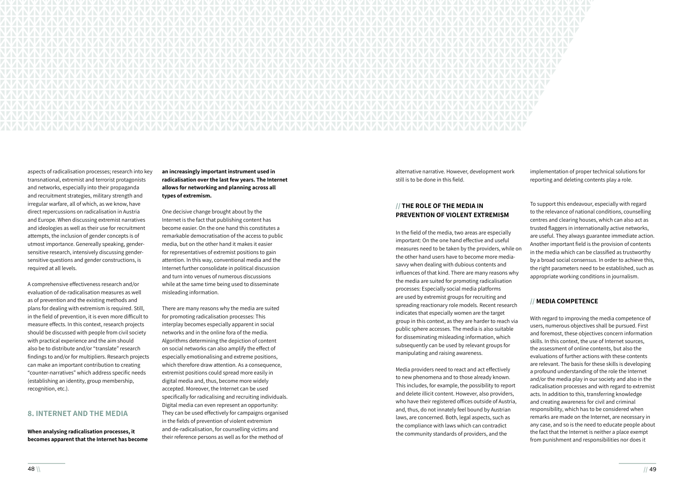

aspects of radicalisation processes; research into key transnational, extremist and terrorist protagonists and networks, especially into their propaganda and recruitment strategies, military strength and irregular warfare, all of which, as we know, have direct repercussions on radicalisation in Austria and Europe. When discussing extremist narratives and ideologies as well as their use for recruitment attempts, the inclusion of gender concepts is of utmost importance. Genereally speaking, gendersensitive research, intensively discussing gendersensitive questions and gender constructions, is required at all levels.

A comprehensive effectiveness research and/or evaluation of de-radicalisation measures as well as of prevention and the existing methods and plans for dealing with extremism is required. Still, in the field of prevention, it is even more difficult to measure effects. In this context, research projects should be discussed with people from civil society with practical experience and the aim should also be to distribute and/or "translate" research findings to and/or for multipliers. Research projects can make an important contribution to creating "counter-narratives" which address specific needs (establishing an identity, group membership, recognition, etc.).

# **8. INTERNET AND THE MEDIA**

**When analysing radicalisation processes, it becomes apparent that the Internet has become**  **an increasingly important instrument used in radicalisation over the last few years. The Internet allows for networking and planning across all types of extremism.** 

One decisive change brought about by the Internet is the fact that publishing content has become easier. On the one hand this constitutes a remarkable democratisation of the access to public media, but on the other hand it makes it easier for representatives of extremist positions to gain attention. In this way, conventional media and the Internet further consolidate in political discussion and turn into venues of numerous discussions while at the same time being used to disseminate misleading information.

There are many reasons why the media are suited for promoting radicalisation processes: This interplay becomes especially apparent in social networks and in the online fora of the media. Algorithms determining the depiction of content on social networks can also amplify the effect of especially emotionalising and extreme positions, which therefore draw attention. As a consequence, extremist positions could spread more easily in digital media and, thus, become more widely accepted. Moreover, the Internet can be used specifically for radicalising and recruiting individuals. Digital media can even represent an opportunity: They can be used effectively for campaigns organised in the fields of prevention of violent extremism and de-radicalisation, for counselling victims and their reference persons as well as for the method of

alternative narrative. However, development work still is to be done in this field.

# **// THE ROLE OF THE MEDIA IN PREVENTION OF VIOLENT EXTREMISM**

In the field of the media, two areas are especially important: On the one hand effective and useful measures need to be taken by the providers, while on the other hand users have to become more mediasavvy when dealing with dubious contents and influences of that kind. There are many reasons why the media are suited for promoting radicalisation processes: Especially social media platforms are used by extremist groups for recruiting and spreading reactionary role models. Recent research indicates that especially women are the target

implementation of proper technical solutions for reporting and deleting contents play a role.

To support this endeavour, especially with regard to the relevance of national conditions, counselling centres and clearing houses, which can also act as trusted flaggers in internationally active networks, are useful. They always guarantee immediate action. Another important field is the provision of contents in the media which can be classified as trustworthy by a broad social consensus. In order to achieve this, the right parameters need to be established, such as appropriate working conditions in journalism.

group in this context, as they are harder to reach via public sphere accesses. The media is also suitable for disseminating misleading information, which subsequently can be used by relevant groups for manipulating and raising awareness. Media providers need to react and act effectively to new phenomena and to those already known. This includes, for example, the possibility to report and delete illicit content. However, also providers, who have their registered offices outside of Austria, and, thus, do not innately feel bound by Austrian laws, are concerned. Both, legal aspects, such as the compliance with laws which can contradict the community standards of providers, and the With regard to improving the media competence of users, numerous objectives shall be pursued. First and foremost, these objectives concern information skills. In this context, the use of Internet sources, the assessment of online contents, but also the evaluations of further actions with these contents are relevant. The basis for these skills is developing a profound understanding of the role the Internet and/or the media play in our society and also in the radicalisation processes and with regard to extremist acts. In addition to this, transferring knowledge and creating awareness for civil and criminal responsibility, which has to be considered when remarks are made on the Internet, are necessary in any case, and so is the need to educate people about the fact that the Internet is neither a place exempt from punishment and responsibilities nor does it

# **// MEDIA COMPETENCE**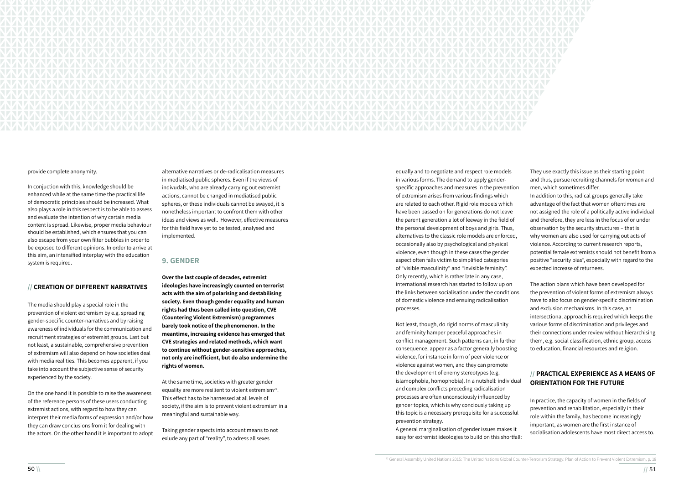In conjuction with this, knowledge should be enhanced while at the same time the practical life of democratic principles should be increased. What also plays a role in this respect is to be able to assess and evaluate the intention of why certain media content is spread. Likewise, proper media behaviour should be established, which ensures that you can also escape from your own filter bubbles in order to be exposed to different opinions. In order to arrive at this aim, an intensified interplay with the education system is required.



### provide complete anonymity.

### **// CREATION OF DIFFERENT NARRATIVES**

The media should play a special role in the prevention of violent extremism by e.g. spreading gender-specific counter-narratives and by raising awareness of individuals for the communication and recruitment strategies of extremist groups. Last but not least, a sustainable, comprehensive prevention of extremism will also depend on how societies deal with media realities. This becomes apparent, if you take into account the subjective sense of security experienced by the society.

On the one hand it is possible to raise the awareness of the reference persons of these users conducting extremist actions, with regard to how they can interpret their media forms of expression and/or how they can draw conclusions from it for dealing with the actors. On the other hand it is important to adopt

alternative narratives or de-radicalisation measures in mediatised public spheres. Even if the views of indivudals, who are already carrying out extremist actions, cannot be changed in mediatised public spheres, or these individuals cannot be swayed, it is nonetheless important to confront them with other ideas and views as well. However, effective measures for this field have yet to be tested, analysed and implemented.

### **9. GENDER**

**Over the last couple of decades, extremist ideologies have increasingly counted on terrorist acts with the aim of polarising and destabilising society. Even though gender equality and human rights had thus been called into question, CVE (Countering Violent Extremism) programmes barely took notice of the phenomenon. In the meantime, increasing evidence has emerged that CVE strategies and related methods, which want to continue without gender-sensitive approaches, not only are inefficient, but do also undermine the rights of women.**

At the same time, societies with greater gender equality are more resilient to violent extremism<sup>22</sup>. This effect has to be harnessed at all levels of society, if the aim is to prevent violent extremism in a meaningful and sustainable way.

Taking gender aspects into account means to not exlude any part of "reality", to adress all sexes

equally and to negotiate and respect role models in various forms. The demand to apply genderspecific approaches and measures in the prevention of extremism arises from various findings which are related to each other. Rigid role models which have been passed on for generations do not leave the parent generation a lot of leeway in the field of the personal development of boys and girls. Thus, alternatives to the classic role models are enforced, occasionally also by psychological and physical violence, even though in these cases the gender aspect often falls victim to simplified categories of "visible masculinity" and "invisible feminity". Only recently, which is rather late in any case, international research has started to follow up on the links between socialisation under the conditions of domestic violence and ensuing radicalisation processes.

gender topics, which is why conciously taking up this topic is a necessary prerequisite for a successful prevention strategy. A general marginalisation of gender issues makes it easy for extremist ideologies to build on this shortfall:

They use exactly this issue as their starting point and thus, pursue recruiting channels for women and men, which sometimes differ.

Not least, though, do rigid norms of masculinity and feminity hamper peaceful approaches in conflict management. Such patterns can, in further consequence, appear as a factor generally boosting violence, for instance in form of peer violence or violence against women, and they can promote the development of enemy stereotypes (e.g. islamophobia, homophobia). In a nutshell: individual and complex conflicts preceding radicalisation processes are often unconsciously influenced by them, e.g. social classification, ethnic group, access to education, financial resources and religion. **ORIENTATION FOR THE FUTURE** In practice, the capacity of women in the fields of prevention and rehabilitation, especially in their role within the family, has become increasingly important, as women are the first instance of socialisation adolescents have most direct access to.

In addition to this, radical groups generally take advantage of the fact that women oftentimes are not assigned the role of a politically active individual and therefore, they are less in the focus of or under observation by the security structures – that is why women are also used for carrying out acts of violence. According to current research reports, potential female extremists should not benefit from a positive "security bias", especially with regard to the expected increase of returnees.

The action plans which have been developed for the prevention of violent forms of extremism always have to also focus on gender-specific discrimination and exclusion mechanisms. In this case, an intersectional approach is required which keeps the various forms of discrimination and privileges and their connections under review without hierarchising

# **// PRACTICAL EXPERIENCE AS A MEANS OF**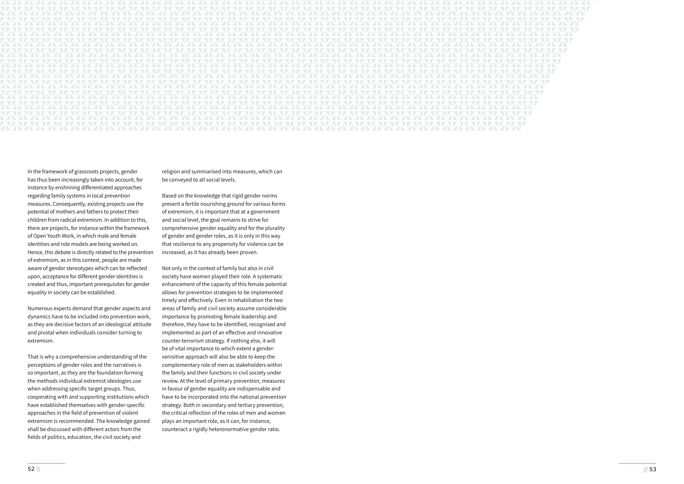

In the framework of grassroots projects, gender has thus been increasingly taken into account, for instance by enshrining differentiated approaches regarding family systems in local prevention measures. Consequently, existing projects use the potential of mothers and fathers to protect their children from radical extremism. In addition to this, there are projects, for instance within the framework of Open Youth Work, in which male and female identities and role models are being worked on. Hence, this debate is directly related to the prevention of extremism, as in this context, people are made aware of gender stereotypes which can be reflected upon, acceptance for different gender identities is created and thus, important prerequisites for gender equality in society can be established.

Numerous experts demand that gender aspects and dynamics have to be included into prevention work, as they are decisive factors of an ideological attitude and pivotal when individuals consider turning to extremism.

That is why a comprehensive understanding of the perceptions of gender roles and the narratives is so important, as they are the foundation forming the methods individual extremist ideologies use when addressing specific target groups. Thus, cooperating with and supporting institutions which have established themselves with gender-specific approaches in the field of prevention of violent extremism is recommended. The knowledge gained shall be discussed with different actors from the fields of politics, education, the civil society and

religion and summarised into measures, which can be conveyed to all social levels.

Based on the knowledge that rigid gender norms present a fertile nourishing ground for various forms of extremism, it is important that at a government and social level, the goal remains to strive for comprehensive gender equality and for the plurality of gender and gender roles, as it is only in this way that resilience to any propensity for violence can be increased, as it has already been proven.

Not only in the context of family but also in civil society have women played their role. A systematic enhancement of the capacity of this female potential allows for prevention strategies to be implemented timely and effectively. Even in rehabiliation the two areas of family and civil society assume considerable importance by promoting female leadership and therefore, they have to be identified, recognised and implemented as part of an effective and innovative counter-terrorism strategy. If nothing else, it will be of vital importance to which extent a gendersenisitive approach will also be able to keep the complementary role of men as stakeholders within the family and their functions in civil society under review. At the level of primary prevention, measures in favour of gender equality are indispensable and have to be incorporated into the national prevention strategy. Both in secondary and tertiary prevention, the critical reflection of the roles of men and women plays an important role, as it can, for instance, counteract a rigidly heteronormative gender ratio.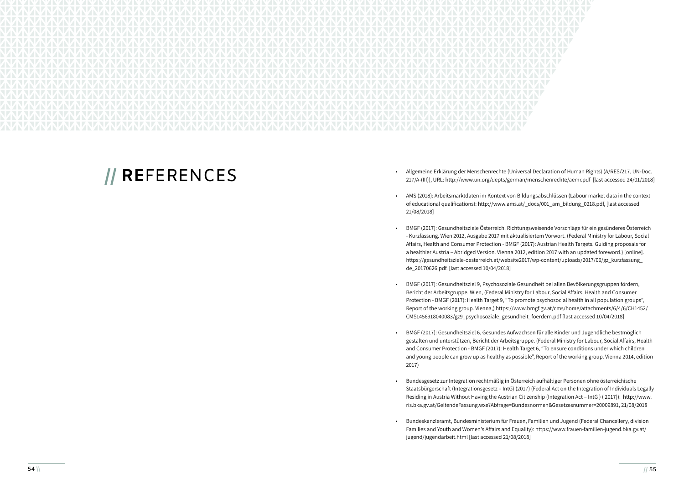

# **// REFERENCES** • Allgemeine Erklärung der Menschenrechte (Universal Declaration of Human Rights) (A/RES/217, UN-Doc. 217/A-(III)), URL: http://www.un.org/depts/german/menschenrechte/aemr.pdf [last accessed 24/01/2018]

• AMS (2018): Arbeitsmarktdaten im Kontext von Bildungsabschlüssen (Labour market data in the context of educational qualifications): http://www.ams.at/\_docs/001\_am\_bildung\_0218.pdf, [last accessed

• BMGF (2017): Gesundheitsziele Österreich. Richtungsweisende Vorschläge für ein gesünderes Österreich - Kurzfassung. Wien 2012, Ausgabe 2017 mit aktualisiertem Vorwort. (Federal Ministry for Labour, Social Affairs, Health and Consumer Protection - BMGF (2017): Austrian Health Targets. Guiding proposals for a healthier Austria – Abridged Version. Vienna 2012, edition 2017 with an updated foreword.) [online]. https://gesundheitsziele-oesterreich.at/website2017/wp-content/uploads/2017/06/gz\_kurzfassung\_

• BMGF (2017): Gesundheitsziel 9, Psychosoziale Gesundheit bei allen Bevölkerungsgruppen fördern, Bericht der Arbeitsgruppe. Wien, (Federal Ministry for Labour, Social Affairs, Health and Consumer Protection - BMGF (2017): Health Target 9, "To promote psychosocial health in all population groups", Report of the working group. Vienna,) https://www.bmgf.gv.at/cms/home/attachments/6/4/6/CH1452/

- 
- 21/08/2018]
- de\_20170626.pdf. [last accessed 10/04/2018]
- CMS1456918040083/gz9\_psychosoziale\_gesundheit\_foerdern.pdf [last accessed 10/04/2018]
- 2017)
- 
- jugend/jugendarbeit.html [last accessed 21/08/2018]

• BMGF (2017): Gesundheitsziel 6, Gesundes Aufwachsen für alle Kinder und Jugendliche bestmöglich gestalten und unterstützen, Bericht der Arbeitsgruppe. (Federal Ministry for Labour, Social Affairs, Health and Consumer Protection - BMGF (2017): Health Target 6, "To ensure conditions under which children and young people can grow up as healthy as possible", Report of the working group. Vienna 2014, edition

• Bundesgesetz zur Integration rechtmäßig in Österreich aufhältiger Personen ohne österreichische Staatsbürgerschaft (Integrationsgesetz – IntG) (2017) (Federal Act on the Integration of Individuals Legally Residing in Austria Without Having the Austrian Citizenship (Integration Act – IntG ) ( 2017)): http://www. ris.bka.gv.at/GeltendeFassung.wxe?Abfrage=Bundesnormen&Gesetzesnummer=20009891, 21/08/2018

• Bundeskanzleramt, Bundesministerium für Frauen, Familien und Jugend (Federal Chancellery, division Families and Youth and Women's Affairs and Equality): https://www.frauen-familien-jugend.bka.gv.at/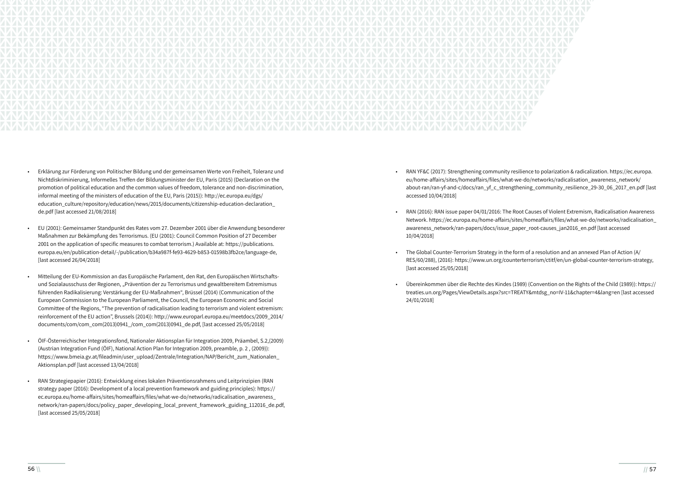

- Erklärung zur Förderung von Politischer Bildung und der gemeinsamen Werte von Freiheit, Toleranz und Nichtdiskriminierung, Informelles Treffen der Bildungsminister der EU, Paris (2015) (Declaration on the promotion of political education and the common values of freedom, tolerance and non-discrimination, informal meeting of the ministers of education of the EU, Paris (2015)): http://ec.europa.eu/dgs/ education\_culture/repository/education/news/2015/documents/citizenship-education-declaration\_ de.pdf [last accessed 21/08/2018]
- EU (2001): Gemeinsamer Standpunkt des Rates vom 27. Dezember 2001 über die Anwendung besonderer Maßnahmen zur Bekämpfung des Terrorismus. (EU (2001): Council Common Position of 27 December 2001 on the application of specific measures to combat terrorism.) Available at: https://publications. europa.eu/en/publication-detail/-/publication/b34a987f-fe93-4629-b853-01598b3fb2ce/language-de, [last accessed 26/04/2018]
- Mitteilung der EU-Kommission an das Europäische Parlament, den Rat, den Europäischen Wirtschaftsund Sozialausschuss der Regionen, "Prävention der zu Terrorismus und gewaltbereitem Extremismus führenden Radikalisierung: Verstärkung der EU-Maßnahmen", Brüssel (2014) (Communication of the European Commission to the European Parliament, the Council, the European Economic and Social Committee of the Regions, "The prevention of radicalisation leading to terrorism and violent extremism: reinforcement of the EU action", Brussels (2014)): http://www.europarl.europa.eu/meetdocs/2009\_2014/ documents/com/com\_com(2013)0941\_/com\_com(2013)0941\_de.pdf, [last accessed 25/05/2018]
- ÖIF-Österreichischer Integrationsfond, Nationaler Aktionsplan für Integration 2009, Präambel, S.2,(2009) (Austrian Integration Fund (ÖIF), National Action Plan for Integration 2009, preamble, p. 2 , (2009)): https://www.bmeia.gv.at/fileadmin/user\_upload/Zentrale/Integration/NAP/Bericht\_zum\_Nationalen\_ Aktionsplan.pdf [last accessed 13/04/2018]
- RAN Strategiepapier (2016): Entwicklung eines lokalen Präventionsrahmens und Leitprinzipien (RAN strategy paper (2016): Development of a local prevention framework and guiding principles): https:// ec.europa.eu/home-affairs/sites/homeaffairs/files/what-we-do/networks/radicalisation\_awareness\_ network/ran-papers/docs/policy\_paper\_developing\_local\_prevent\_framework\_guiding\_112016\_de.pdf, [last accessed 25/05/2018]

• RAN YF&C (2017): Strengthening community resilience to polarization & radicalization. https://ec.europa. eu/home-affairs/sites/homeaffairs/files/what-we-do/networks/radicalisation\_awareness\_network/ about-ran/ran-yf-and-c/docs/ran\_yf\_c\_strengthening\_community\_resilience\_29-30\_06\_2017\_en.pdf [last

• RAN (2016): RAN issue paper 04/01/2016: The Root Causes of Violent Extremism, Radicalisation Awareness Network. https://ec.europa.eu/home-affairs/sites/homeaffairs/files/what-we-do/networks/radicalisation\_ awareness\_network/ran-papers/docs/issue\_paper\_root-causes\_jan2016\_en.pdf [last accessed

- accessed 10/04/2018]
- 10/04/2018]
- [last accessed 25/05/2018]
- 24/01/2018]

• The Global Counter-Terrorism Strategy in the form of a resolution and an annexed Plan of Action (A/ RES/60/288), (2016): https://www.un.org/counterterrorism/ctitf/en/un-global-counter-terrorism-strategy,

• Übereinkommen über die Rechte des Kindes (1989) (Convention on the Rights of the Child (1989)): https:// treaties.un.org/Pages/ViewDetails.aspx?src=TREATY&mtdsg\_no=IV-11&chapter=4&lang=en [last accessed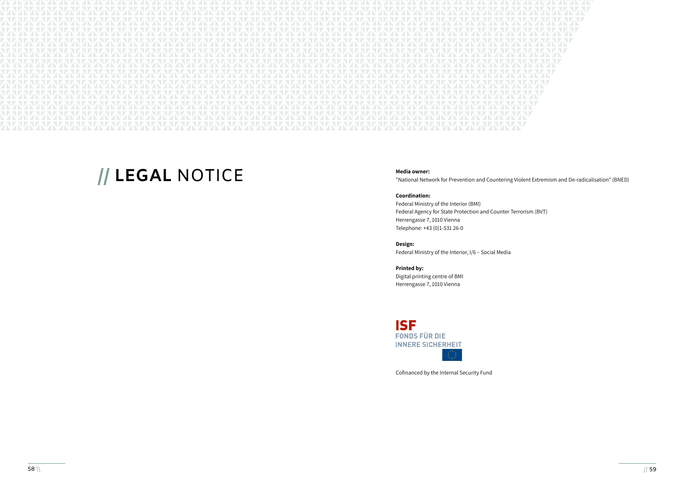

# **// LEGAL NOTICE** Media owner:

"National Network for Prevention and Countering Violent Extremism and De-radicalisation" (BNED)

### **Coordination:**

Federal Ministry of the Interior (BMI) Federal Agency for State Protection and Counter Terrorism (BVT) Herrengasse 7, 1010 Vienna Telephone: +43 (0)1-531 26-0

### **Design:**

Federal Ministry of the Interior, I/6 – Social Media

**Printed by:** 

Digital printing centre of BMI Herrengasse 7, 1010 Vienna



Cofinanced by the Internal Security Fund